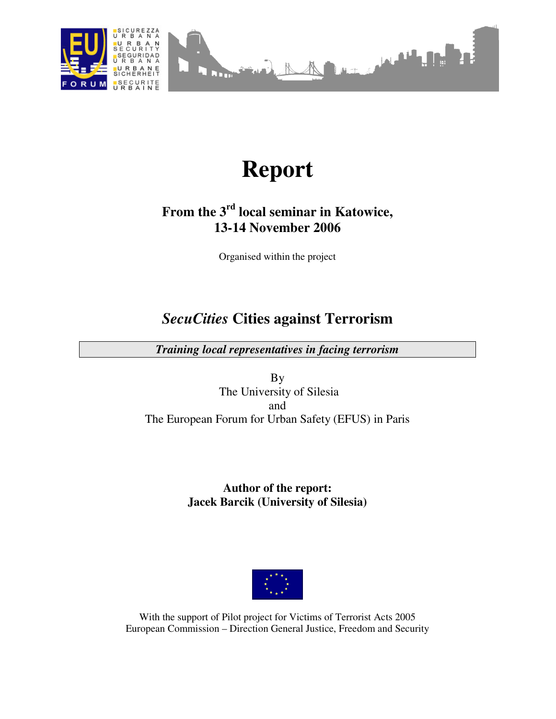

# **Report**

# **From the 3rd local seminar in Katowice, 13-14 November 2006**

Organised within the project

# *SecuCities* **Cities against Terrorism**

*Training local representatives in facing terrorism* 

By The University of Silesia and The European Forum for Urban Safety (EFUS) in Paris

## **Author of the report: Jacek Barcik (University of Silesia)**



With the support of Pilot project for Victims of Terrorist Acts 2005 European Commission – Direction General Justice, Freedom and Security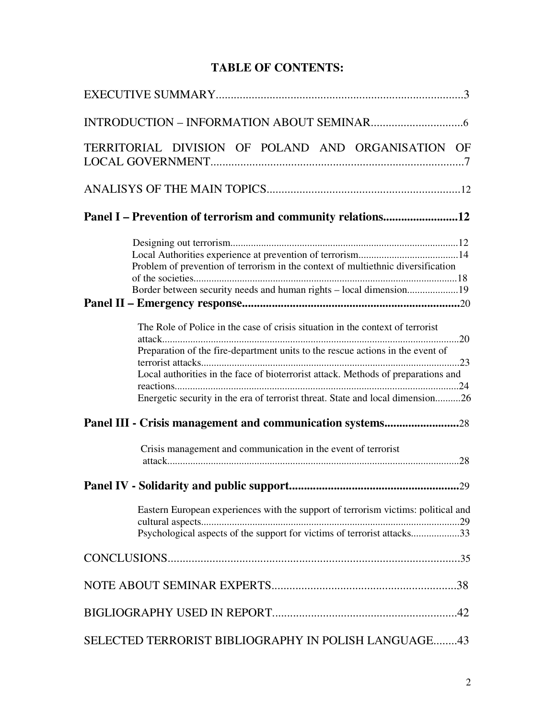# **TABLE OF CONTENTS:**

| TERRITORIAL DIVISION OF POLAND AND ORGANISATION OF                                                                                                                                                                                                                                                                                      |
|-----------------------------------------------------------------------------------------------------------------------------------------------------------------------------------------------------------------------------------------------------------------------------------------------------------------------------------------|
|                                                                                                                                                                                                                                                                                                                                         |
| Panel I – Prevention of terrorism and community relations12                                                                                                                                                                                                                                                                             |
| Problem of prevention of terrorism in the context of multiethnic diversification                                                                                                                                                                                                                                                        |
|                                                                                                                                                                                                                                                                                                                                         |
| The Role of Police in the case of crisis situation in the context of terrorist<br>Preparation of the fire-department units to the rescue actions in the event of<br>Local authorities in the face of bioterrorist attack. Methods of preparations and<br>Energetic security in the era of terrorist threat. State and local dimension26 |
| Panel III - Crisis management and communication systems28                                                                                                                                                                                                                                                                               |
| Crisis management and communication in the event of terrorist                                                                                                                                                                                                                                                                           |
|                                                                                                                                                                                                                                                                                                                                         |
| Eastern European experiences with the support of terrorism victims: political and<br>Psychological aspects of the support for victims of terrorist attacks33                                                                                                                                                                            |
|                                                                                                                                                                                                                                                                                                                                         |
|                                                                                                                                                                                                                                                                                                                                         |
|                                                                                                                                                                                                                                                                                                                                         |
| SELECTED TERRORIST BIBLIOGRAPHY IN POLISH LANGUAGE43                                                                                                                                                                                                                                                                                    |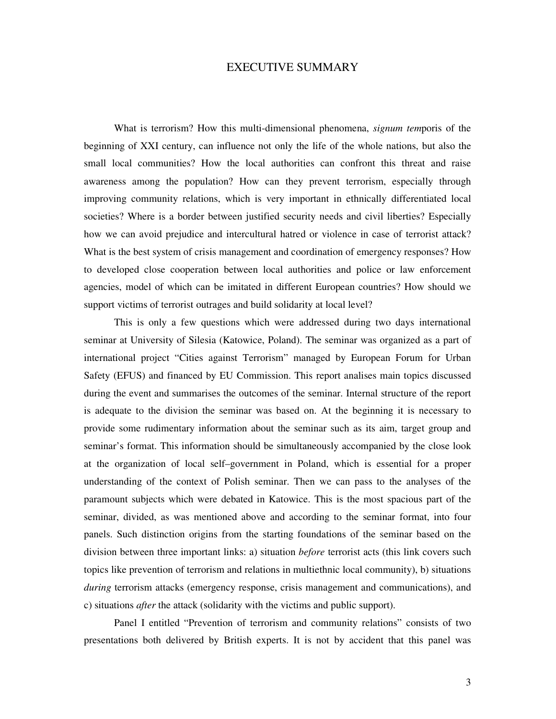#### EXECUTIVE SUMMARY

What is terrorism? How this multi-dimensional phenomena, *signum tem*poris of the beginning of XXI century, can influence not only the life of the whole nations, but also the small local communities? How the local authorities can confront this threat and raise awareness among the population? How can they prevent terrorism, especially through improving community relations, which is very important in ethnically differentiated local societies? Where is a border between justified security needs and civil liberties? Especially how we can avoid prejudice and intercultural hatred or violence in case of terrorist attack? What is the best system of crisis management and coordination of emergency responses? How to developed close cooperation between local authorities and police or law enforcement agencies, model of which can be imitated in different European countries? How should we support victims of terrorist outrages and build solidarity at local level?

This is only a few questions which were addressed during two days international seminar at University of Silesia (Katowice, Poland). The seminar was organized as a part of international project "Cities against Terrorism" managed by European Forum for Urban Safety (EFUS) and financed by EU Commission. This report analises main topics discussed during the event and summarises the outcomes of the seminar. Internal structure of the report is adequate to the division the seminar was based on. At the beginning it is necessary to provide some rudimentary information about the seminar such as its aim, target group and seminar's format. This information should be simultaneously accompanied by the close look at the organization of local self–government in Poland, which is essential for a proper understanding of the context of Polish seminar. Then we can pass to the analyses of the paramount subjects which were debated in Katowice. This is the most spacious part of the seminar, divided, as was mentioned above and according to the seminar format, into four panels. Such distinction origins from the starting foundations of the seminar based on the division between three important links: a) situation *before* terrorist acts (this link covers such topics like prevention of terrorism and relations in multiethnic local community), b) situations *during* terrorism attacks (emergency response, crisis management and communications), and c) situations *after* the attack (solidarity with the victims and public support).

Panel I entitled "Prevention of terrorism and community relations" consists of two presentations both delivered by British experts. It is not by accident that this panel was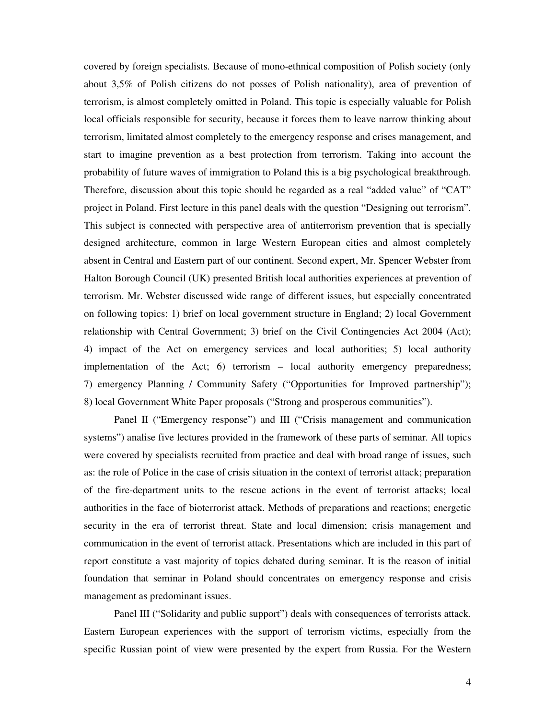covered by foreign specialists. Because of mono-ethnical composition of Polish society (only about 3,5% of Polish citizens do not posses of Polish nationality), area of prevention of terrorism, is almost completely omitted in Poland. This topic is especially valuable for Polish local officials responsible for security, because it forces them to leave narrow thinking about terrorism, limitated almost completely to the emergency response and crises management, and start to imagine prevention as a best protection from terrorism. Taking into account the probability of future waves of immigration to Poland this is a big psychological breakthrough. Therefore, discussion about this topic should be regarded as a real "added value" of "CAT" project in Poland. First lecture in this panel deals with the question "Designing out terrorism". This subject is connected with perspective area of antiterrorism prevention that is specially designed architecture, common in large Western European cities and almost completely absent in Central and Eastern part of our continent. Second expert, Mr. Spencer Webster from Halton Borough Council (UK) presented British local authorities experiences at prevention of terrorism. Mr. Webster discussed wide range of different issues, but especially concentrated on following topics: 1) brief on local government structure in England; 2) local Government relationship with Central Government; 3) brief on the Civil Contingencies Act 2004 (Act); 4) impact of the Act on emergency services and local authorities; 5) local authority implementation of the Act; 6) terrorism – local authority emergency preparedness; 7) emergency Planning / Community Safety ("Opportunities for Improved partnership"); 8) local Government White Paper proposals ("Strong and prosperous communities").

Panel II ("Emergency response") and III ("Crisis management and communication systems") analise five lectures provided in the framework of these parts of seminar. All topics were covered by specialists recruited from practice and deal with broad range of issues, such as: the role of Police in the case of crisis situation in the context of terrorist attack; preparation of the fire-department units to the rescue actions in the event of terrorist attacks; local authorities in the face of bioterrorist attack. Methods of preparations and reactions; energetic security in the era of terrorist threat. State and local dimension; crisis management and communication in the event of terrorist attack. Presentations which are included in this part of report constitute a vast majority of topics debated during seminar. It is the reason of initial foundation that seminar in Poland should concentrates on emergency response and crisis management as predominant issues.

Panel III ("Solidarity and public support") deals with consequences of terrorists attack. Eastern European experiences with the support of terrorism victims, especially from the specific Russian point of view were presented by the expert from Russia. For the Western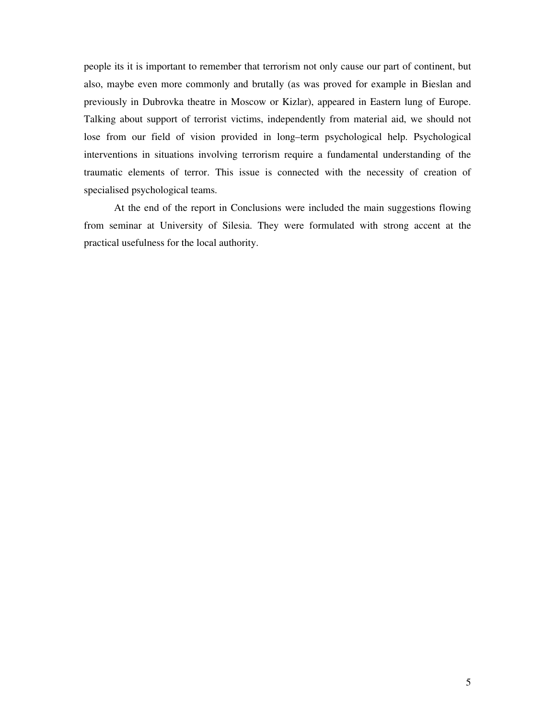people its it is important to remember that terrorism not only cause our part of continent, but also, maybe even more commonly and brutally (as was proved for example in Bieslan and previously in Dubrovka theatre in Moscow or Kizlar), appeared in Eastern lung of Europe. Talking about support of terrorist victims, independently from material aid, we should not lose from our field of vision provided in long–term psychological help. Psychological interventions in situations involving terrorism require a fundamental understanding of the traumatic elements of terror. This issue is connected with the necessity of creation of specialised psychological teams.

At the end of the report in Conclusions were included the main suggestions flowing from seminar at University of Silesia. They were formulated with strong accent at the practical usefulness for the local authority.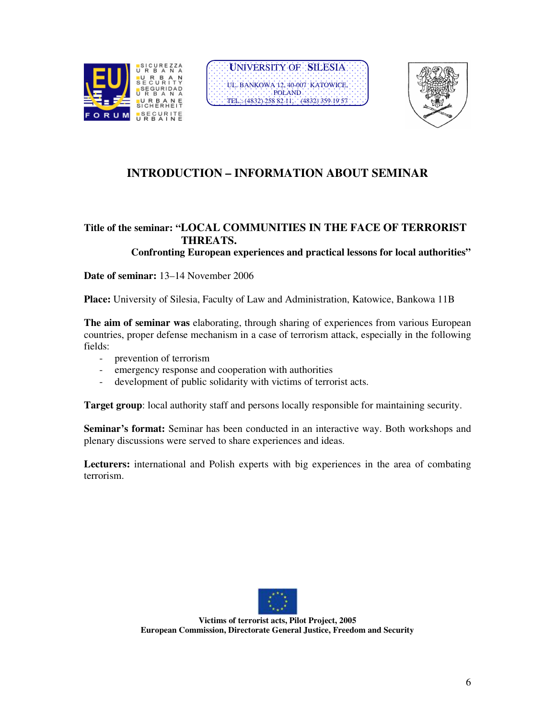





# **INTRODUCTION – INFORMATION ABOUT SEMINAR**

### **Title of the seminar: "LOCAL COMMUNITIES IN THE FACE OF TERRORIST THREATS.**

 **Confronting European experiences and practical lessons for local authorities"**

**Date of seminar:** 13–14 November 2006

**Place:** University of Silesia, Faculty of Law and Administration, Katowice, Bankowa 11B

**The aim of seminar was** elaborating, through sharing of experiences from various European countries, proper defense mechanism in a case of terrorism attack, especially in the following fields:

- prevention of terrorism
- emergency response and cooperation with authorities
- development of public solidarity with victims of terrorist acts.

**Target group**: local authority staff and persons locally responsible for maintaining security.

**Seminar's format:** Seminar has been conducted in an interactive way. Both workshops and plenary discussions were served to share experiences and ideas.

**Lecturers:** international and Polish experts with big experiences in the area of combating terrorism.



**Victims of terrorist acts, Pilot Project, 2005 European Commission, Directorate General Justice, Freedom and Security**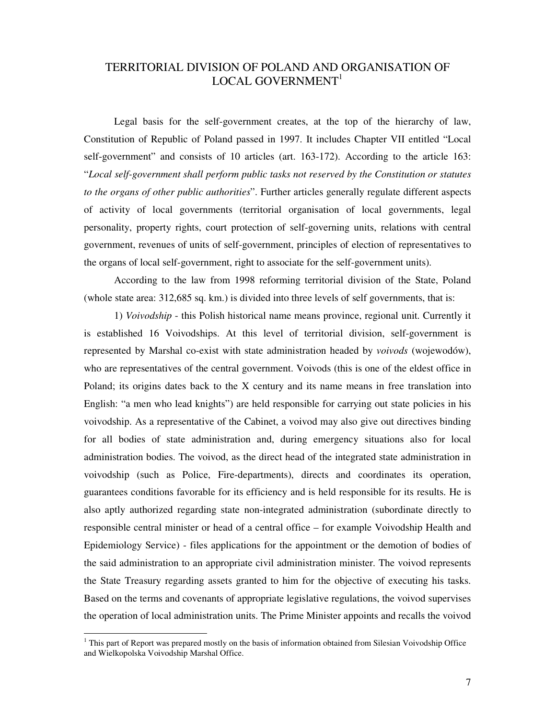#### TERRITORIAL DIVISION OF POLAND AND ORGANISATION OF LOCAL GOVERNMENT $1$

Legal basis for the self-government creates, at the top of the hierarchy of law, Constitution of Republic of Poland passed in 1997. It includes Chapter VII entitled "Local self-government" and consists of 10 articles (art. 163-172). According to the article 163: "*Local self-government shall perform public tasks not reserved by the Constitution or statutes to the organs of other public authorities*". Further articles generally regulate different aspects of activity of local governments (territorial organisation of local governments, legal personality, property rights, court protection of self-governing units, relations with central government, revenues of units of self-government, principles of election of representatives to the organs of local self-government, right to associate for the self-government units).

According to the law from 1998 reforming territorial division of the State, Poland (whole state area: 312,685 sq. km.) is divided into three levels of self governments, that is:

1) *Voivodship* - this Polish historical name means province, regional unit. Currently it is established 16 Voivodships. At this level of territorial division, self-government is represented by Marshal co-exist with state administration headed by *voivods* (wojewodów), who are representatives of the central government. Voivods (this is one of the eldest office in Poland; its origins dates back to the X century and its name means in free translation into English: "a men who lead knights") are held responsible for carrying out state policies in his voivodship. As a representative of the Cabinet, a voivod may also give out directives binding for all bodies of state administration and, during emergency situations also for local administration bodies. The voivod, as the direct head of the integrated state administration in voivodship (such as Police, Fire-departments), directs and coordinates its operation, guarantees conditions favorable for its efficiency and is held responsible for its results. He is also aptly authorized regarding state non-integrated administration (subordinate directly to responsible central minister or head of a central office – for example Voivodship Health and Epidemiology Service) - files applications for the appointment or the demotion of bodies of the said administration to an appropriate civil administration minister. The voivod represents the State Treasury regarding assets granted to him for the objective of executing his tasks. Based on the terms and covenants of appropriate legislative regulations, the voivod supervises the operation of local administration units. The Prime Minister appoints and recalls the voivod

<sup>&</sup>lt;sup>1</sup> This part of Report was prepared mostly on the basis of information obtained from Silesian Voivodship Office and Wielkopolska Voivodship Marshal Office.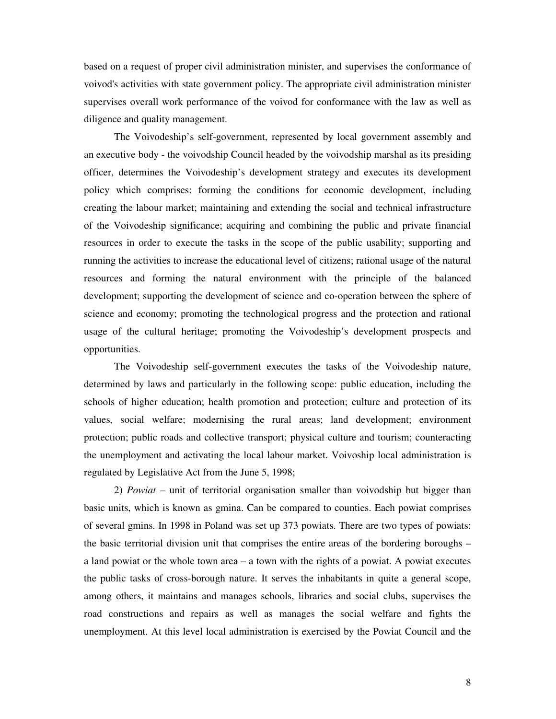based on a request of proper civil administration minister, and supervises the conformance of voivod's activities with state government policy. The appropriate civil administration minister supervises overall work performance of the voivod for conformance with the law as well as diligence and quality management.

The Voivodeship's self-government, represented by local government assembly and an executive body - the voivodship Council headed by the voivodship marshal as its presiding officer, determines the Voivodeship's development strategy and executes its development policy which comprises: forming the conditions for economic development, including creating the labour market; maintaining and extending the social and technical infrastructure of the Voivodeship significance; acquiring and combining the public and private financial resources in order to execute the tasks in the scope of the public usability; supporting and running the activities to increase the educational level of citizens; rational usage of the natural resources and forming the natural environment with the principle of the balanced development; supporting the development of science and co-operation between the sphere of science and economy; promoting the technological progress and the protection and rational usage of the cultural heritage; promoting the Voivodeship's development prospects and opportunities.

The Voivodeship self-government executes the tasks of the Voivodeship nature, determined by laws and particularly in the following scope: public education, including the schools of higher education; health promotion and protection; culture and protection of its values, social welfare; modernising the rural areas; land development; environment protection; public roads and collective transport; physical culture and tourism; counteracting the unemployment and activating the local labour market. Voivoship local administration is regulated by Legislative Act from the June 5, 1998;

2) *Powiat* – unit of territorial organisation smaller than voivodship but bigger than basic units, which is known as gmina. Can be compared to counties. Each powiat comprises of several gmins. In 1998 in Poland was set up 373 powiats. There are two types of powiats: the basic territorial division unit that comprises the entire areas of the bordering boroughs – a land powiat or the whole town area – a town with the rights of a powiat. A powiat executes the public tasks of cross-borough nature. It serves the inhabitants in quite a general scope, among others, it maintains and manages schools, libraries and social clubs, supervises the road constructions and repairs as well as manages the social welfare and fights the unemployment. At this level local administration is exercised by the Powiat Council and the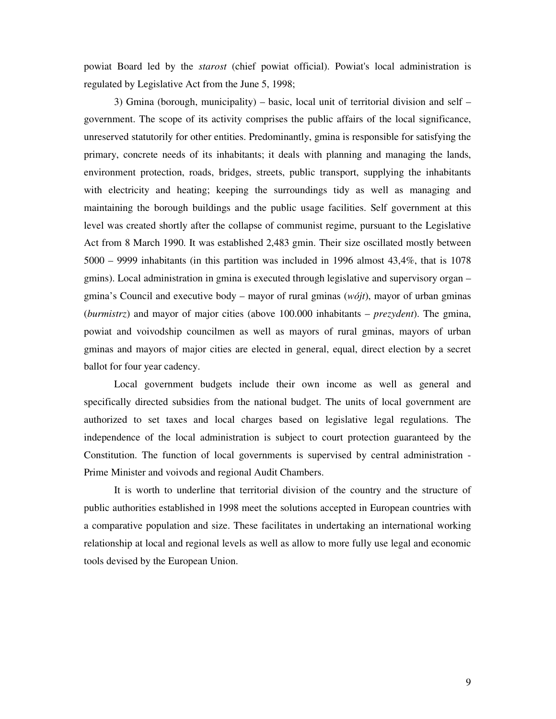powiat Board led by the *starost* (chief powiat official). Powiat's local administration is regulated by Legislative Act from the June 5, 1998;

3) Gmina (borough, municipality) – basic, local unit of territorial division and self – government. The scope of its activity comprises the public affairs of the local significance, unreserved statutorily for other entities. Predominantly, gmina is responsible for satisfying the primary, concrete needs of its inhabitants; it deals with planning and managing the lands, environment protection, roads, bridges, streets, public transport, supplying the inhabitants with electricity and heating; keeping the surroundings tidy as well as managing and maintaining the borough buildings and the public usage facilities. Self government at this level was created shortly after the collapse of communist regime, pursuant to the Legislative Act from 8 March 1990. It was established 2,483 gmin. Their size oscillated mostly between 5000 – 9999 inhabitants (in this partition was included in 1996 almost 43,4%, that is 1078 gmins). Local administration in gmina is executed through legislative and supervisory organ – gmina's Council and executive body – mayor of rural gminas (*wójt*), mayor of urban gminas (*burmistrz*) and mayor of major cities (above 100.000 inhabitants – *prezydent*). The gmina, powiat and voivodship councilmen as well as mayors of rural gminas, mayors of urban gminas and mayors of major cities are elected in general, equal, direct election by a secret ballot for four year cadency.

Local government budgets include their own income as well as general and specifically directed subsidies from the national budget. The units of local government are authorized to set taxes and local charges based on legislative legal regulations. The independence of the local administration is subject to court protection guaranteed by the Constitution. The function of local governments is supervised by central administration - Prime Minister and voivods and regional Audit Chambers.

It is worth to underline that territorial division of the country and the structure of public authorities established in 1998 meet the solutions accepted in European countries with a comparative population and size. These facilitates in undertaking an international working relationship at local and regional levels as well as allow to more fully use legal and economic tools devised by the European Union.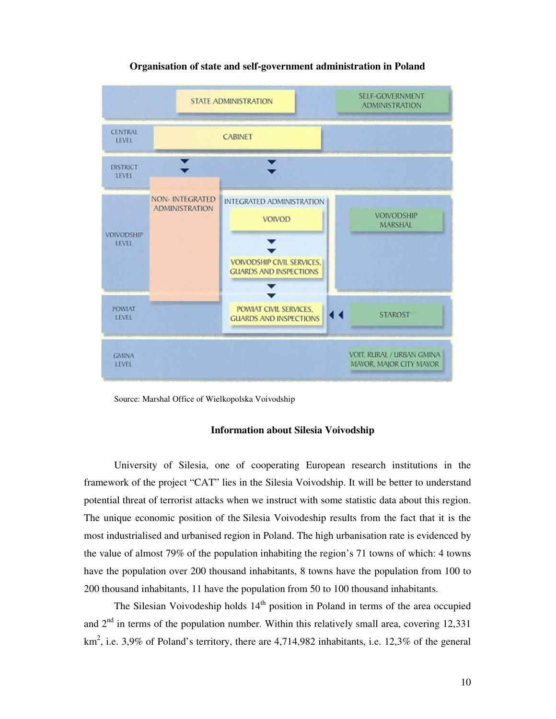

#### **Organisation of state and self-government administration in Poland**

Source: Marshal Office of Wielkopolska Voivodship

#### **Information about Silesia Voivodship**

University of Silesia, one of cooperating European research institutions in the framework of the project "CAT" lies in the Silesia Voivodship. It will be better to understand potential threat of terrorist attacks when we instruct with some statistic data about this region. The unique economic position of the Silesia Voivodeship results from the fact that it is the most industrialised and urbanised region in Poland. The high urbanisation rate is evidenced by the value of almost 79% of the population inhabiting the region's 71 towns of which: 4 towns have the population over 200 thousand inhabitants, 8 towns have the population from 100 to 200 thousand inhabitants, 11 have the population from 50 to 100 thousand inhabitants.

The Silesian Voivodeship holds  $14<sup>th</sup>$  position in Poland in terms of the area occupied and  $2<sup>nd</sup>$  in terms of the population number. Within this relatively small area, covering 12,331 km<sup>2</sup>, i.e. 3,9% of Poland's territory, there are 4,714,982 inhabitants, i.e. 12,3% of the general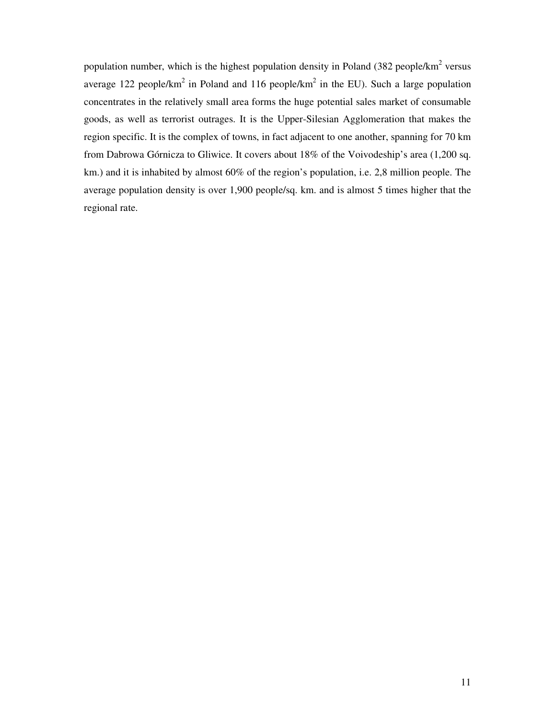population number, which is the highest population density in Poland  $(382 \text{ people/km}^2 \text{ versus}$ average 122 people/km<sup>2</sup> in Poland and 116 people/km<sup>2</sup> in the EU). Such a large population concentrates in the relatively small area forms the huge potential sales market of consumable goods, as well as terrorist outrages. It is the Upper-Silesian Agglomeration that makes the region specific. It is the complex of towns, in fact adjacent to one another, spanning for 70 km from Dabrowa Górnicza to Gliwice. It covers about 18% of the Voivodeship's area (1,200 sq. km.) and it is inhabited by almost 60% of the region's population, i.e. 2,8 million people. The average population density is over 1,900 people/sq. km. and is almost 5 times higher that the regional rate.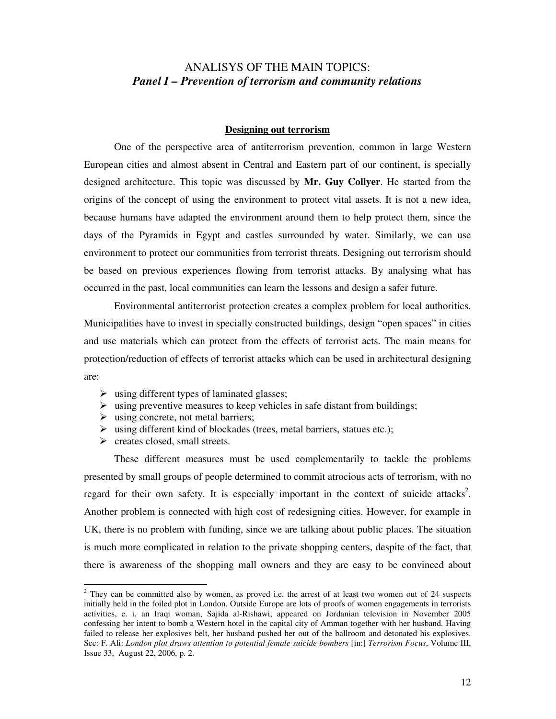### ANALISYS OF THE MAIN TOPICS: *Panel I – Prevention of terrorism and community relations*

#### **Designing out terrorism**

One of the perspective area of antiterrorism prevention, common in large Western European cities and almost absent in Central and Eastern part of our continent, is specially designed architecture. This topic was discussed by **Mr. Guy Collyer**. He started from the origins of the concept of using the environment to protect vital assets. It is not a new idea, because humans have adapted the environment around them to help protect them, since the days of the Pyramids in Egypt and castles surrounded by water. Similarly, we can use environment to protect our communities from terrorist threats. Designing out terrorism should be based on previous experiences flowing from terrorist attacks. By analysing what has occurred in the past, local communities can learn the lessons and design a safer future.

Environmental antiterrorist protection creates a complex problem for local authorities. Municipalities have to invest in specially constructed buildings, design "open spaces" in cities and use materials which can protect from the effects of terrorist acts. The main means for protection/reduction of effects of terrorist attacks which can be used in architectural designing are:

- $\triangleright$  using different types of laminated glasses;
- $\triangleright$  using preventive measures to keep vehicles in safe distant from buildings;
- $\triangleright$  using concrete, not metal barriers;
- $\triangleright$  using different kind of blockades (trees, metal barriers, statues etc.);
- $\triangleright$  creates closed, small streets.

-

These different measures must be used complementarily to tackle the problems presented by small groups of people determined to commit atrocious acts of terrorism, with no regard for their own safety. It is especially important in the context of suicide attacks<sup>2</sup>. Another problem is connected with high cost of redesigning cities. However, for example in UK, there is no problem with funding, since we are talking about public places. The situation is much more complicated in relation to the private shopping centers, despite of the fact, that there is awareness of the shopping mall owners and they are easy to be convinced about

 $2$  They can be committed also by women, as proved i.e. the arrest of at least two women out of 24 suspects initially held in the foiled plot in London. Outside Europe are lots of proofs of women engagements in terrorists activities, e. i. an Iraqi woman, Sajida al-Rishawi, appeared on Jordanian television in November 2005 confessing her intent to bomb a Western hotel in the capital city of Amman together with her husband. Having failed to release her explosives belt, her husband pushed her out of the ballroom and detonated his explosives. See: F. Ali: *London plot draws attention to potential female suicide bombers* [in:] *Terrorism Focus*, Volume III, Issue 33, August 22, 2006, p. 2.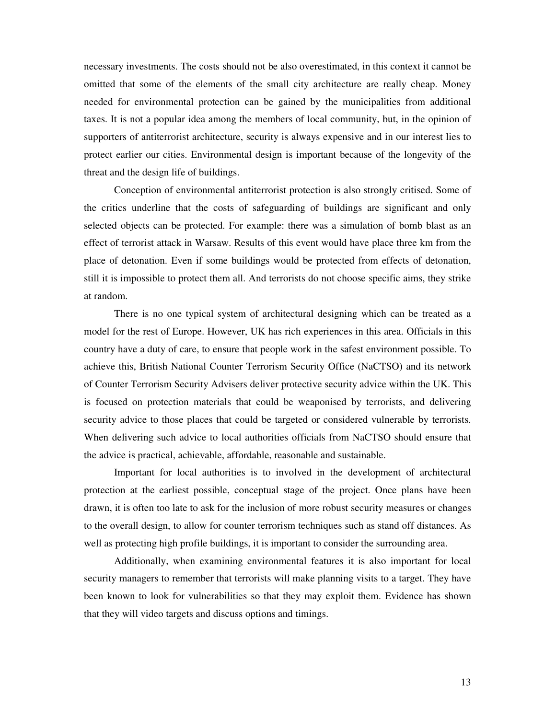necessary investments. The costs should not be also overestimated, in this context it cannot be omitted that some of the elements of the small city architecture are really cheap. Money needed for environmental protection can be gained by the municipalities from additional taxes. It is not a popular idea among the members of local community, but, in the opinion of supporters of antiterrorist architecture, security is always expensive and in our interest lies to protect earlier our cities. Environmental design is important because of the longevity of the threat and the design life of buildings.

Conception of environmental antiterrorist protection is also strongly critised. Some of the critics underline that the costs of safeguarding of buildings are significant and only selected objects can be protected. For example: there was a simulation of bomb blast as an effect of terrorist attack in Warsaw. Results of this event would have place three km from the place of detonation. Even if some buildings would be protected from effects of detonation, still it is impossible to protect them all. And terrorists do not choose specific aims, they strike at random.

There is no one typical system of architectural designing which can be treated as a model for the rest of Europe. However, UK has rich experiences in this area. Officials in this country have a duty of care, to ensure that people work in the safest environment possible. To achieve this, British National Counter Terrorism Security Office (NaCTSO) and its network of Counter Terrorism Security Advisers deliver protective security advice within the UK. This is focused on protection materials that could be weaponised by terrorists, and delivering security advice to those places that could be targeted or considered vulnerable by terrorists. When delivering such advice to local authorities officials from NaCTSO should ensure that the advice is practical, achievable, affordable, reasonable and sustainable.

Important for local authorities is to involved in the development of architectural protection at the earliest possible, conceptual stage of the project. Once plans have been drawn, it is often too late to ask for the inclusion of more robust security measures or changes to the overall design, to allow for counter terrorism techniques such as stand off distances. As well as protecting high profile buildings, it is important to consider the surrounding area.

Additionally, when examining environmental features it is also important for local security managers to remember that terrorists will make planning visits to a target. They have been known to look for vulnerabilities so that they may exploit them. Evidence has shown that they will video targets and discuss options and timings.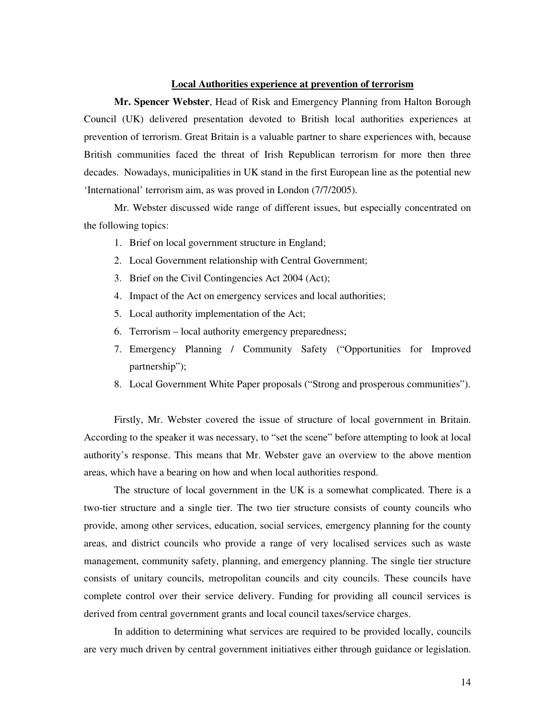#### **Local Authorities experience at prevention of terrorism**

**Mr. Spencer Webster**, Head of Risk and Emergency Planning from Halton Borough Council (UK) delivered presentation devoted to British local authorities experiences at prevention of terrorism. Great Britain is a valuable partner to share experiences with, because British communities faced the threat of Irish Republican terrorism for more then three decades. Nowadays, municipalities in UK stand in the first European line as the potential new 'International' terrorism aim, as was proved in London (7/7/2005).

Mr. Webster discussed wide range of different issues, but especially concentrated on the following topics:

- 1. Brief on local government structure in England;
- 2. Local Government relationship with Central Government;
- 3. Brief on the Civil Contingencies Act 2004 (Act);
- 4. Impact of the Act on emergency services and local authorities;
- 5. Local authority implementation of the Act;
- 6. Terrorism local authority emergency preparedness;
- 7. Emergency Planning / Community Safety ("Opportunities for Improved partnership");
- 8. Local Government White Paper proposals ("Strong and prosperous communities").

Firstly, Mr. Webster covered the issue of structure of local government in Britain. According to the speaker it was necessary, to "set the scene" before attempting to look at local authority's response. This means that Mr. Webster gave an overview to the above mention areas, which have a bearing on how and when local authorities respond.

The structure of local government in the UK is a somewhat complicated. There is a two-tier structure and a single tier. The two tier structure consists of county councils who provide, among other services, education, social services, emergency planning for the county areas, and district councils who provide a range of very localised services such as waste management, community safety, planning, and emergency planning. The single tier structure consists of unitary councils, metropolitan councils and city councils. These councils have complete control over their service delivery. Funding for providing all council services is derived from central government grants and local council taxes/service charges.

In addition to determining what services are required to be provided locally, councils are very much driven by central government initiatives either through guidance or legislation.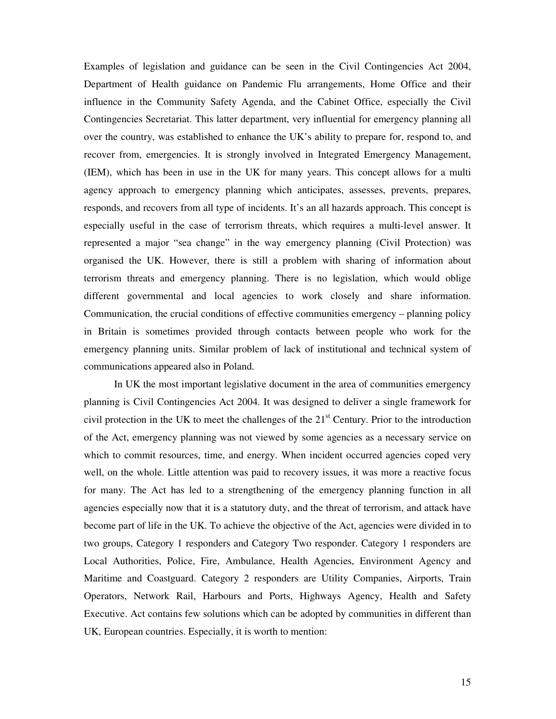Examples of legislation and guidance can be seen in the Civil Contingencies Act 2004, Department of Health guidance on Pandemic Flu arrangements, Home Office and their influence in the Community Safety Agenda, and the Cabinet Office, especially the Civil Contingencies Secretariat. This latter department, very influential for emergency planning all over the country, was established to enhance the UK's ability to prepare for, respond to, and recover from, emergencies. It is strongly involved in Integrated Emergency Management, (IEM), which has been in use in the UK for many years. This concept allows for a multi agency approach to emergency planning which anticipates, assesses, prevents, prepares, responds, and recovers from all type of incidents. It's an all hazards approach. This concept is especially useful in the case of terrorism threats, which requires a multi-level answer. It represented a major "sea change" in the way emergency planning (Civil Protection) was organised the UK. However, there is still a problem with sharing of information about terrorism threats and emergency planning. There is no legislation, which would oblige different governmental and local agencies to work closely and share information. Communication, the crucial conditions of effective communities emergency – planning policy in Britain is sometimes provided through contacts between people who work for the emergency planning units. Similar problem of lack of institutional and technical system of communications appeared also in Poland.

In UK the most important legislative document in the area of communities emergency planning is Civil Contingencies Act 2004. It was designed to deliver a single framework for civil protection in the UK to meet the challenges of the  $21<sup>st</sup>$  Century. Prior to the introduction of the Act, emergency planning was not viewed by some agencies as a necessary service on which to commit resources, time, and energy. When incident occurred agencies coped very well, on the whole. Little attention was paid to recovery issues, it was more a reactive focus for many. The Act has led to a strengthening of the emergency planning function in all agencies especially now that it is a statutory duty, and the threat of terrorism, and attack have become part of life in the UK. To achieve the objective of the Act, agencies were divided in to two groups, Category 1 responders and Category Two responder. Category 1 responders are Local Authorities, Police, Fire, Ambulance, Health Agencies, Environment Agency and Maritime and Coastguard. Category 2 responders are Utility Companies, Airports, Train Operators, Network Rail, Harbours and Ports, Highways Agency, Health and Safety Executive. Act contains few solutions which can be adopted by communities in different than UK, European countries. Especially, it is worth to mention: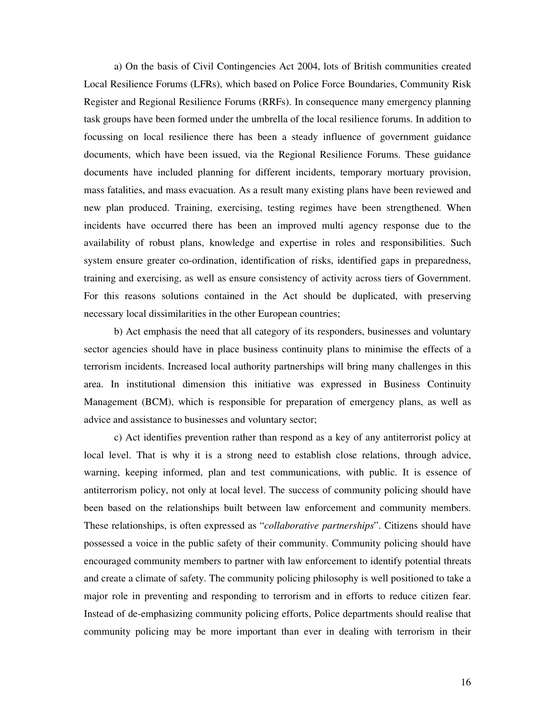a) On the basis of Civil Contingencies Act 2004, lots of British communities created Local Resilience Forums (LFRs), which based on Police Force Boundaries, Community Risk Register and Regional Resilience Forums (RRFs). In consequence many emergency planning task groups have been formed under the umbrella of the local resilience forums. In addition to focussing on local resilience there has been a steady influence of government guidance documents, which have been issued, via the Regional Resilience Forums. These guidance documents have included planning for different incidents, temporary mortuary provision, mass fatalities, and mass evacuation. As a result many existing plans have been reviewed and new plan produced. Training, exercising, testing regimes have been strengthened. When incidents have occurred there has been an improved multi agency response due to the availability of robust plans, knowledge and expertise in roles and responsibilities. Such system ensure greater co-ordination, identification of risks, identified gaps in preparedness, training and exercising, as well as ensure consistency of activity across tiers of Government. For this reasons solutions contained in the Act should be duplicated, with preserving necessary local dissimilarities in the other European countries;

b) Act emphasis the need that all category of its responders, businesses and voluntary sector agencies should have in place business continuity plans to minimise the effects of a terrorism incidents. Increased local authority partnerships will bring many challenges in this area. In institutional dimension this initiative was expressed in Business Continuity Management (BCM), which is responsible for preparation of emergency plans, as well as advice and assistance to businesses and voluntary sector;

c) Act identifies prevention rather than respond as a key of any antiterrorist policy at local level. That is why it is a strong need to establish close relations, through advice, warning, keeping informed, plan and test communications, with public. It is essence of antiterrorism policy, not only at local level. The success of community policing should have been based on the relationships built between law enforcement and community members. These relationships, is often expressed as "*collaborative partnerships*". Citizens should have possessed a voice in the public safety of their community. Community policing should have encouraged community members to partner with law enforcement to identify potential threats and create a climate of safety. The community policing philosophy is well positioned to take a major role in preventing and responding to terrorism and in efforts to reduce citizen fear. Instead of de-emphasizing community policing efforts, Police departments should realise that community policing may be more important than ever in dealing with terrorism in their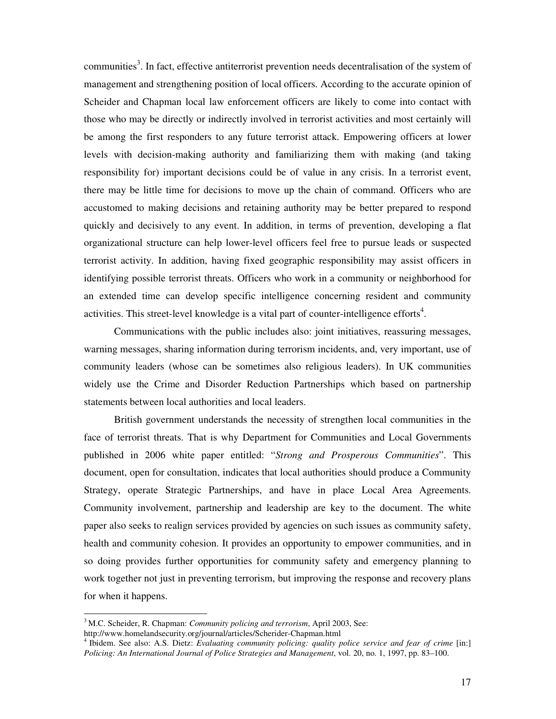communities<sup>3</sup>. In fact, effective antiterrorist prevention needs decentralisation of the system of management and strengthening position of local officers. According to the accurate opinion of Scheider and Chapman local law enforcement officers are likely to come into contact with those who may be directly or indirectly involved in terrorist activities and most certainly will be among the first responders to any future terrorist attack. Empowering officers at lower levels with decision-making authority and familiarizing them with making (and taking responsibility for) important decisions could be of value in any crisis. In a terrorist event, there may be little time for decisions to move up the chain of command. Officers who are accustomed to making decisions and retaining authority may be better prepared to respond quickly and decisively to any event. In addition, in terms of prevention, developing a flat organizational structure can help lower-level officers feel free to pursue leads or suspected terrorist activity. In addition, having fixed geographic responsibility may assist officers in identifying possible terrorist threats. Officers who work in a community or neighborhood for an extended time can develop specific intelligence concerning resident and community activities. This street-level knowledge is a vital part of counter-intelligence efforts<sup>4</sup>.

Communications with the public includes also: joint initiatives, reassuring messages, warning messages, sharing information during terrorism incidents, and, very important, use of community leaders (whose can be sometimes also religious leaders). In UK communities widely use the Crime and Disorder Reduction Partnerships which based on partnership statements between local authorities and local leaders.

British government understands the necessity of strengthen local communities in the face of terrorist threats. That is why Department for Communities and Local Governments published in 2006 white paper entitled: "*Strong and Prosperous Communities*". This document, open for consultation, indicates that local authorities should produce a Community Strategy, operate Strategic Partnerships, and have in place Local Area Agreements. Community involvement, partnership and leadership are key to the document. The white paper also seeks to realign services provided by agencies on such issues as community safety, health and community cohesion. It provides an opportunity to empower communities, and in so doing provides further opportunities for community safety and emergency planning to work together not just in preventing terrorism, but improving the response and recovery plans for when it happens.

<sup>&</sup>lt;sup>3</sup> M.C. Scheider, R. Chapman: *Community policing and terrorism*, April 2003, See:

http://www.homelandsecurity.org/journal/articles/Scherider-Chapman.html

<sup>&</sup>lt;sup>4</sup> Ibidem. See also: A.S. Dietz: *Evaluating community policing: quality police service and fear of crime* [in:] *Policing: An International Journal of Police Strategies and Management*, vol. 20, no. 1, 1997, pp. 83–100.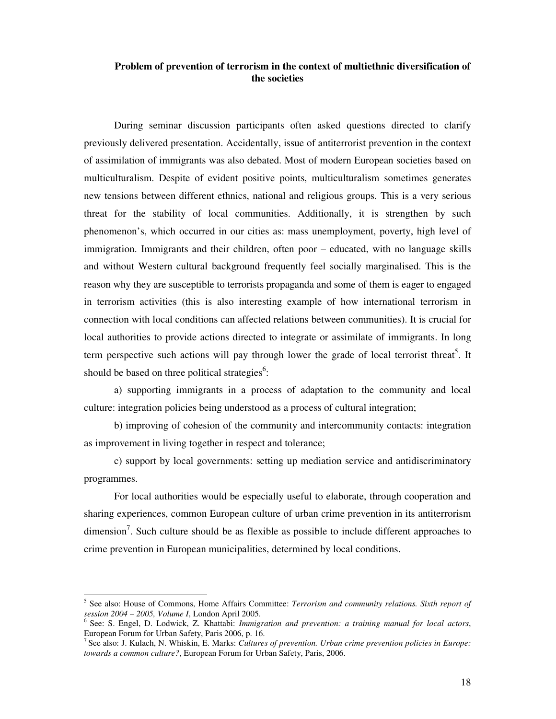#### **Problem of prevention of terrorism in the context of multiethnic diversification of the societies**

During seminar discussion participants often asked questions directed to clarify previously delivered presentation. Accidentally, issue of antiterrorist prevention in the context of assimilation of immigrants was also debated. Most of modern European societies based on multiculturalism. Despite of evident positive points, multiculturalism sometimes generates new tensions between different ethnics, national and religious groups. This is a very serious threat for the stability of local communities. Additionally, it is strengthen by such phenomenon's, which occurred in our cities as: mass unemployment, poverty, high level of immigration. Immigrants and their children, often poor – educated, with no language skills and without Western cultural background frequently feel socially marginalised. This is the reason why they are susceptible to terrorists propaganda and some of them is eager to engaged in terrorism activities (this is also interesting example of how international terrorism in connection with local conditions can affected relations between communities). It is crucial for local authorities to provide actions directed to integrate or assimilate of immigrants. In long term perspective such actions will pay through lower the grade of local terrorist threat<sup>5</sup>. It should be based on three political strategies<sup>6</sup>:

a) supporting immigrants in a process of adaptation to the community and local culture: integration policies being understood as a process of cultural integration;

b) improving of cohesion of the community and intercommunity contacts: integration as improvement in living together in respect and tolerance;

c) support by local governments: setting up mediation service and antidiscriminatory programmes.

For local authorities would be especially useful to elaborate, through cooperation and sharing experiences, common European culture of urban crime prevention in its antiterrorism dimension<sup>7</sup>. Such culture should be as flexible as possible to include different approaches to crime prevention in European municipalities, determined by local conditions.

<sup>5</sup> See also: House of Commons, Home Affairs Committee: *Terrorism and community relations. Sixth report of session 2004 – 2005, Volume I*, London April 2005.

<sup>&</sup>lt;sup>6</sup> See: S. Engel, D. Lodwick, Z. Khattabi: *Immigration and prevention: a training manual for local actors*, European Forum for Urban Safety, Paris 2006, p. 16.

<sup>&</sup>lt;sup>7</sup> See also: J. Kulach, N. Whiskin, E. Marks: *Cultures of prevention. Urban crime prevention policies in Europe: towards a common culture?*, European Forum for Urban Safety, Paris, 2006.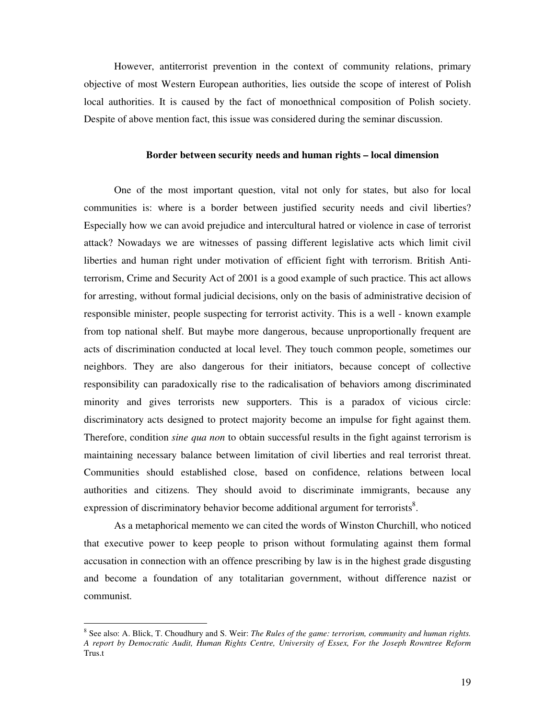However, antiterrorist prevention in the context of community relations, primary objective of most Western European authorities, lies outside the scope of interest of Polish local authorities. It is caused by the fact of monoethnical composition of Polish society. Despite of above mention fact, this issue was considered during the seminar discussion.

#### **Border between security needs and human rights – local dimension**

One of the most important question, vital not only for states, but also for local communities is: where is a border between justified security needs and civil liberties? Especially how we can avoid prejudice and intercultural hatred or violence in case of terrorist attack? Nowadays we are witnesses of passing different legislative acts which limit civil liberties and human right under motivation of efficient fight with terrorism. British Antiterrorism, Crime and Security Act of 2001 is a good example of such practice. This act allows for arresting, without formal judicial decisions, only on the basis of administrative decision of responsible minister, people suspecting for terrorist activity. This is a well - known example from top national shelf. But maybe more dangerous, because unproportionally frequent are acts of discrimination conducted at local level. They touch common people, sometimes our neighbors. They are also dangerous for their initiators, because concept of collective responsibility can paradoxically rise to the radicalisation of behaviors among discriminated minority and gives terrorists new supporters. This is a paradox of vicious circle: discriminatory acts designed to protect majority become an impulse for fight against them. Therefore, condition *sine qua non* to obtain successful results in the fight against terrorism is maintaining necessary balance between limitation of civil liberties and real terrorist threat. Communities should established close, based on confidence, relations between local authorities and citizens. They should avoid to discriminate immigrants, because any expression of discriminatory behavior become additional argument for terrorists $\delta$ .

As a metaphorical memento we can cited the words of Winston Churchill, who noticed that executive power to keep people to prison without formulating against them formal accusation in connection with an offence prescribing by law is in the highest grade disgusting and become a foundation of any totalitarian government, without difference nazist or communist.

<sup>8</sup> See also: A. Blick, T. Choudhury and S. Weir: *The Rules of the game: terrorism, community and human rights. A report by Democratic Audit, Human Rights Centre, University of Essex, For the Joseph Rowntree Reform* Trus.t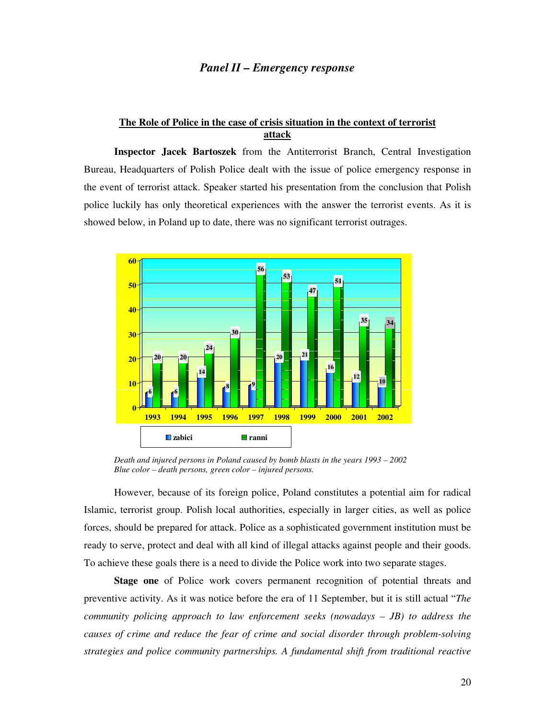#### *Panel II – Emergency response*

#### **The Role of Police in the case of crisis situation in the context of terrorist attack**

**Inspector Jacek Bartoszek** from the Antiterrorist Branch, Central Investigation Bureau, Headquarters of Polish Police dealt with the issue of police emergency response in the event of terrorist attack. Speaker started his presentation from the conclusion that Polish police luckily has only theoretical experiences with the answer the terrorist events. As it is showed below, in Poland up to date, there was no significant terrorist outrages.



*Death and injured persons in Poland caused by bomb blasts in the years 1993 – 2002 Blue color – death persons, green color – injured persons.* 

However, because of its foreign police, Poland constitutes a potential aim for radical Islamic, terrorist group. Polish local authorities, especially in larger cities, as well as police forces, should be prepared for attack. Police as a sophisticated government institution must be ready to serve, protect and deal with all kind of illegal attacks against people and their goods. To achieve these goals there is a need to divide the Police work into two separate stages.

**Stage one** of Police work covers permanent recognition of potential threats and preventive activity. As it was notice before the era of 11 September, but it is still actual "*The community policing approach to law enforcement seeks (nowadays – JB) to address the causes of crime and reduce the fear of crime and social disorder through problem-solving strategies and police community partnerships. A fundamental shift from traditional reactive*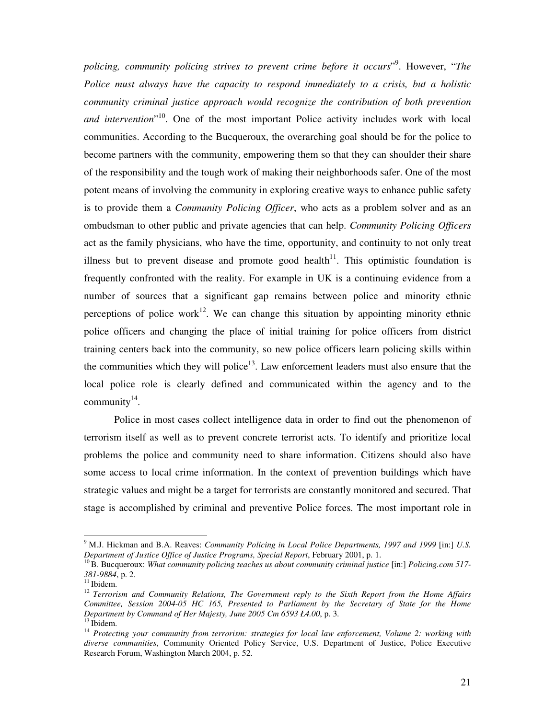*policing, community policing strives to prevent crime before it occurs*" 9 . However, "*The Police must always have the capacity to respond immediately to a crisis, but a holistic community criminal justice approach would recognize the contribution of both prevention and intervention*" <sup>10</sup>. One of the most important Police activity includes work with local communities. According to the Bucqueroux, the overarching goal should be for the police to become partners with the community, empowering them so that they can shoulder their share of the responsibility and the tough work of making their neighborhoods safer. One of the most potent means of involving the community in exploring creative ways to enhance public safety is to provide them a *Community Policing Officer*, who acts as a problem solver and as an ombudsman to other public and private agencies that can help. *Community Policing Officers* act as the family physicians, who have the time, opportunity, and continuity to not only treat illness but to prevent disease and promote good health<sup>11</sup>. This optimistic foundation is frequently confronted with the reality. For example in UK is a continuing evidence from a number of sources that a significant gap remains between police and minority ethnic perceptions of police work<sup>12</sup>. We can change this situation by appointing minority ethnic police officers and changing the place of initial training for police officers from district training centers back into the community, so new police officers learn policing skills within the communities which they will police<sup>13</sup>. Law enforcement leaders must also ensure that the local police role is clearly defined and communicated within the agency and to the community $^{14}$ .

Police in most cases collect intelligence data in order to find out the phenomenon of terrorism itself as well as to prevent concrete terrorist acts. To identify and prioritize local problems the police and community need to share information. Citizens should also have some access to local crime information. In the context of prevention buildings which have strategic values and might be a target for terrorists are constantly monitored and secured. That stage is accomplished by criminal and preventive Police forces. The most important role in

<sup>9</sup>M.J. Hickman and B.A. Reaves: *Community Policing in Local Police Departments, 1997 and 1999* [in:] *U.S. Department of Justice Office of Justice Programs, Special Report*, February 2001, p. 1.

<sup>&</sup>lt;sup>10</sup>B. Bucqueroux: *What community policing teaches us about community criminal justice* [in:] *Policing.com 517-381-9884*, p. 2.

 $11$ Ibidem.

<sup>12</sup>*Terrorism and Community Relations, The Government reply to the Sixth Report from the Home Affairs Committee, Session 2004-05 HC 165, Presented to Parliament by the Secretary of State for the Home Department by Command of Her Majesty, June 2005 Cm 6593 Ł4.00*, p. 3.

 $13$  Ibidem.

<sup>14</sup> *Protecting your community from terrorism: strategies for local law enforcement, Volume 2: working with diverse communities*, Community Oriented Policy Service, U.S. Department of Justice, Police Executive Research Forum, Washington March 2004, p. 52.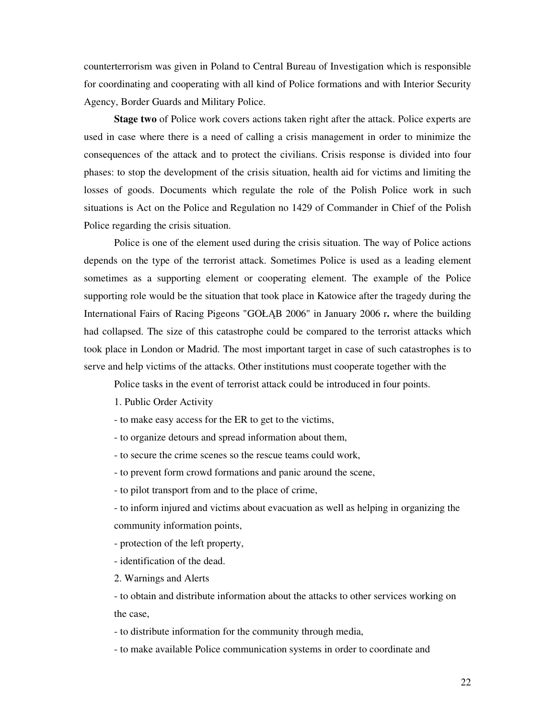counterterrorism was given in Poland to Central Bureau of Investigation which is responsible for coordinating and cooperating with all kind of Police formations and with Interior Security Agency, Border Guards and Military Police.

**Stage two** of Police work covers actions taken right after the attack. Police experts are used in case where there is a need of calling a crisis management in order to minimize the consequences of the attack and to protect the civilians. Crisis response is divided into four phases: to stop the development of the crisis situation, health aid for victims and limiting the losses of goods. Documents which regulate the role of the Polish Police work in such situations is Act on the Police and Regulation no 1429 of Commander in Chief of the Polish Police regarding the crisis situation.

Police is one of the element used during the crisis situation. The way of Police actions depends on the type of the terrorist attack. Sometimes Police is used as a leading element sometimes as a supporting element or cooperating element. The example of the Police supporting role would be the situation that took place in Katowice after the tragedy during the International Fairs of Racing Pigeons "GOŁĄB 2006" in January 2006 r**.** where the building had collapsed. The size of this catastrophe could be compared to the terrorist attacks which took place in London or Madrid. The most important target in case of such catastrophes is to serve and help victims of the attacks. Other institutions must cooperate together with the

Police tasks in the event of terrorist attack could be introduced in four points.

1. Public Order Activity

- to make easy access for the ER to get to the victims,
- to organize detours and spread information about them,
- to secure the crime scenes so the rescue teams could work,
- to prevent form crowd formations and panic around the scene,
- to pilot transport from and to the place of crime,

- to inform injured and victims about evacuation as well as helping in organizing the community information points,

- protection of the left property,

- identification of the dead.

2. Warnings and Alerts

- to obtain and distribute information about the attacks to other services working on the case,

- to distribute information for the community through media,

- to make available Police communication systems in order to coordinate and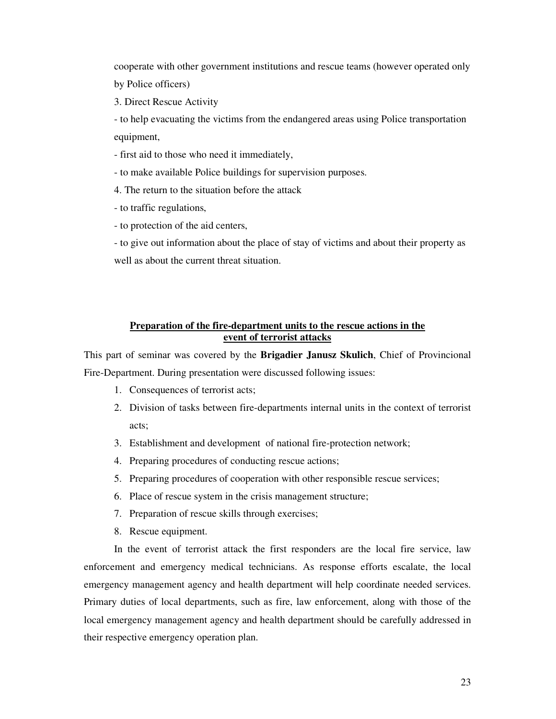cooperate with other government institutions and rescue teams (however operated only by Police officers)

3. Direct Rescue Activity

- to help evacuating the victims from the endangered areas using Police transportation equipment,

- first aid to those who need it immediately,

- to make available Police buildings for supervision purposes.

4. The return to the situation before the attack

- to traffic regulations,

- to protection of the aid centers,

- to give out information about the place of stay of victims and about their property as well as about the current threat situation.

#### **Preparation of the fire-department units to the rescue actions in the event of terrorist attacks**

This part of seminar was covered by the **Brigadier Janusz Skulich**, Chief of Provincional Fire-Department. During presentation were discussed following issues:

- 1. Consequences of terrorist acts;
- 2. Division of tasks between fire-departments internal units in the context of terrorist acts;
- 3. Establishment and development of national fire-protection network;
- 4. Preparing procedures of conducting rescue actions;
- 5. Preparing procedures of cooperation with other responsible rescue services;
- 6. Place of rescue system in the crisis management structure;
- 7. Preparation of rescue skills through exercises;
- 8. Rescue equipment.

In the event of terrorist attack the first responders are the local fire service, law enforcement and emergency medical technicians. As response efforts escalate, the local emergency management agency and health department will help coordinate needed services. Primary duties of local departments, such as fire, law enforcement, along with those of the local emergency management agency and health department should be carefully addressed in their respective emergency operation plan.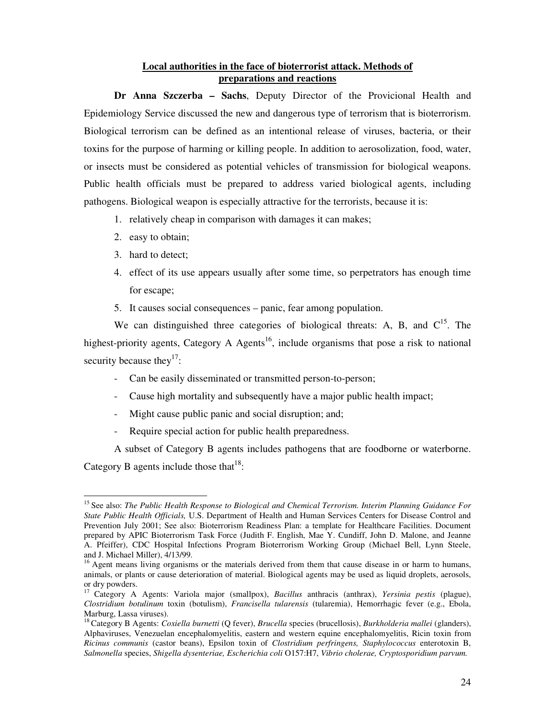#### **Local authorities in the face of bioterrorist attack. Methods of preparations and reactions**

**Dr Anna Szczerba – Sachs**, Deputy Director of the Provicional Health and Epidemiology Service discussed the new and dangerous type of terrorism that is bioterrorism. Biological terrorism can be defined as an intentional release of viruses, bacteria, or their toxins for the purpose of harming or killing people. In addition to aerosolization, food, water, or insects must be considered as potential vehicles of transmission for biological weapons. Public health officials must be prepared to address varied biological agents, including pathogens. Biological weapon is especially attractive for the terrorists, because it is:

- 1. relatively cheap in comparison with damages it can makes;
- 2. easy to obtain;
- 3. hard to detect;
- 4. effect of its use appears usually after some time, so perpetrators has enough time for escape;
- 5. It causes social consequences panic, fear among population.

We can distinguished three categories of biological threats: A, B, and  $C^{15}$ . The highest-priority agents, Category A Agents<sup>16</sup>, include organisms that pose a risk to national security because they<sup>17</sup>:

- Can be easily disseminated or transmitted person-to-person;
- Cause high mortality and subsequently have a major public health impact;
- Might cause public panic and social disruption; and;
- Require special action for public health preparedness.

A subset of Category B agents includes pathogens that are foodborne or waterborne.

Category B agents include those that  $18$ :

<sup>&</sup>lt;sup>15</sup> See also: *The Public Health Response to Biological and Chemical Terrorism. Interim Planning Guidance For State Public Health Officials,* U.S. Department of Health and Human Services Centers for Disease Control and Prevention July 2001; See also: Bioterrorism Readiness Plan: a template for Healthcare Facilities. Document prepared by APIC Bioterrorism Task Force (Judith F. English, Mae Y. Cundiff, John D. Malone, and Jeanne A. Pfeiffer), CDC Hospital Infections Program Bioterrorism Working Group (Michael Bell, Lynn Steele, and J. Michael Miller), 4/13/99.

 $16$  Agent means living organisms or the materials derived from them that cause disease in or harm to humans, animals, or plants or cause deterioration of material. Biological agents may be used as liquid droplets, aerosols, or dry powders.

<sup>17</sup>Category A Agents: Variola major (smallpox), *Bacillus* anthracis (anthrax), *Yersinia pestis* (plague), *Clostridium botulinum* toxin (botulism), *Francisella tularensis* (tularemia), Hemorrhagic fever (e.g., Ebola, Marburg, Lassa viruses).

<sup>18</sup>Category B Agents: *Coxiella burnetti* (Q fever), *Brucella* species (brucellosis), *Burkholderia mallei* (glanders), Alphaviruses, Venezuelan encephalomyelitis, eastern and western equine encephalomyelitis, Ricin toxin from *Ricinus communis* (castor beans), Epsilon toxin of *Clostridium perfringens, Staphylococcus* enterotoxin B, *Salmonella* species, *Shigella dysenteriae, Escherichia coli* O157:H7, *Vibrio cholerae, Cryptosporidium parvum.*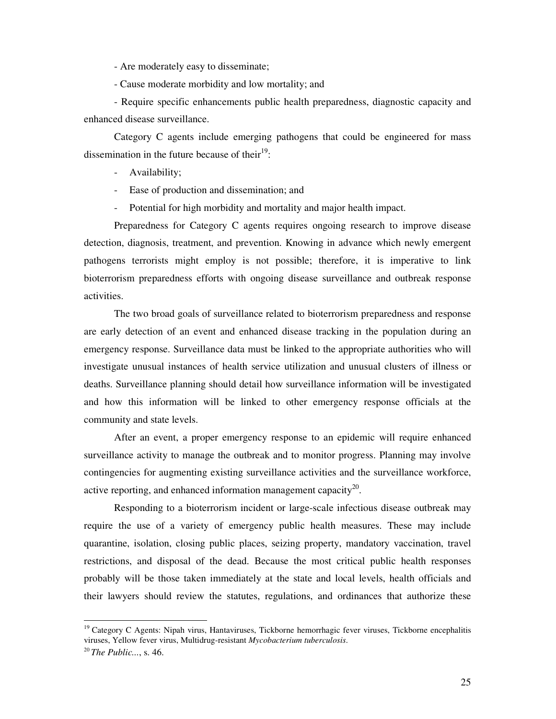- Are moderately easy to disseminate;

- Cause moderate morbidity and low mortality; and

- Require specific enhancements public health preparedness, diagnostic capacity and enhanced disease surveillance.

Category C agents include emerging pathogens that could be engineered for mass dissemination in the future because of their $19$ :

- Availability;
- Ease of production and dissemination; and
- Potential for high morbidity and mortality and major health impact.

Preparedness for Category C agents requires ongoing research to improve disease detection, diagnosis, treatment, and prevention. Knowing in advance which newly emergent pathogens terrorists might employ is not possible; therefore, it is imperative to link bioterrorism preparedness efforts with ongoing disease surveillance and outbreak response activities.

The two broad goals of surveillance related to bioterrorism preparedness and response are early detection of an event and enhanced disease tracking in the population during an emergency response. Surveillance data must be linked to the appropriate authorities who will investigate unusual instances of health service utilization and unusual clusters of illness or deaths. Surveillance planning should detail how surveillance information will be investigated and how this information will be linked to other emergency response officials at the community and state levels.

After an event, a proper emergency response to an epidemic will require enhanced surveillance activity to manage the outbreak and to monitor progress. Planning may involve contingencies for augmenting existing surveillance activities and the surveillance workforce, active reporting, and enhanced information management capacity<sup>20</sup>.

Responding to a bioterrorism incident or large-scale infectious disease outbreak may require the use of a variety of emergency public health measures. These may include quarantine, isolation, closing public places, seizing property, mandatory vaccination, travel restrictions, and disposal of the dead. Because the most critical public health responses probably will be those taken immediately at the state and local levels, health officials and their lawyers should review the statutes, regulations, and ordinances that authorize these

<sup>&</sup>lt;sup>19</sup> Category C Agents: Nipah virus, Hantaviruses, Tickborne hemorrhagic fever viruses, Tickborne encephalitis viruses, Yellow fever virus, Multidrug-resistant *Mycobacterium tuberculosis*.

<sup>20</sup>*The Public...*, s. 46.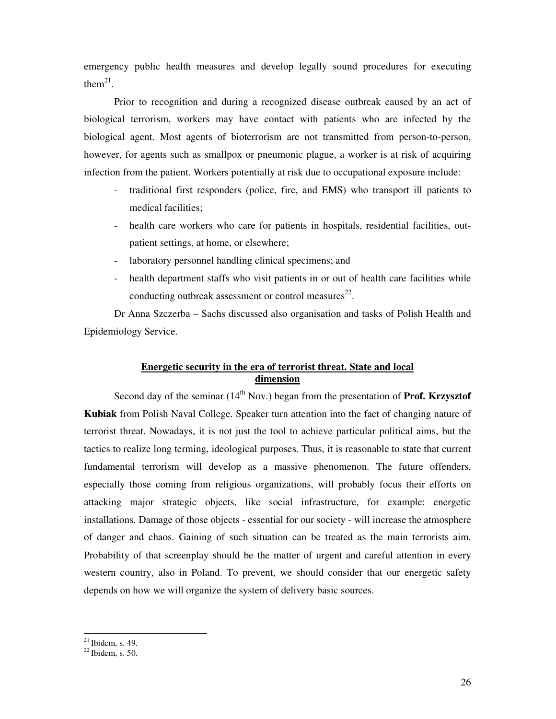emergency public health measures and develop legally sound procedures for executing them<sup>21</sup>.

Prior to recognition and during a recognized disease outbreak caused by an act of biological terrorism, workers may have contact with patients who are infected by the biological agent. Most agents of bioterrorism are not transmitted from person-to-person, however, for agents such as smallpox or pneumonic plague, a worker is at risk of acquiring infection from the patient. Workers potentially at risk due to occupational exposure include:

- traditional first responders (police, fire, and EMS) who transport ill patients to medical facilities;
- health care workers who care for patients in hospitals, residential facilities, outpatient settings, at home, or elsewhere;
- laboratory personnel handling clinical specimens; and
- health department staffs who visit patients in or out of health care facilities while conducting outbreak assessment or control measures $^{22}$ .

Dr Anna Szczerba – Sachs discussed also organisation and tasks of Polish Health and Epidemiology Service.

#### **Energetic security in the era of terrorist threat. State and local dimension**

Second day of the seminar  $(14<sup>th</sup> Nov.)$  began from the presentation of **Prof. Krzysztof Kubiak** from Polish Naval College. Speaker turn attention into the fact of changing nature of terrorist threat. Nowadays, it is not just the tool to achieve particular political aims, but the tactics to realize long terming, ideological purposes. Thus, it is reasonable to state that current fundamental terrorism will develop as a massive phenomenon. The future offenders, especially those coming from religious organizations, will probably focus their efforts on attacking major strategic objects, like social infrastructure, for example: energetic installations. Damage of those objects - essential for our society - will increase the atmosphere of danger and chaos. Gaining of such situation can be treated as the main terrorists aim. Probability of that screenplay should be the matter of urgent and careful attention in every western country, also in Poland. To prevent, we should consider that our energetic safety depends on how we will organize the system of delivery basic sources.

 $^{21}$  Ibidem, s. 49.

 $^{22}$  Ibidem, s. 50.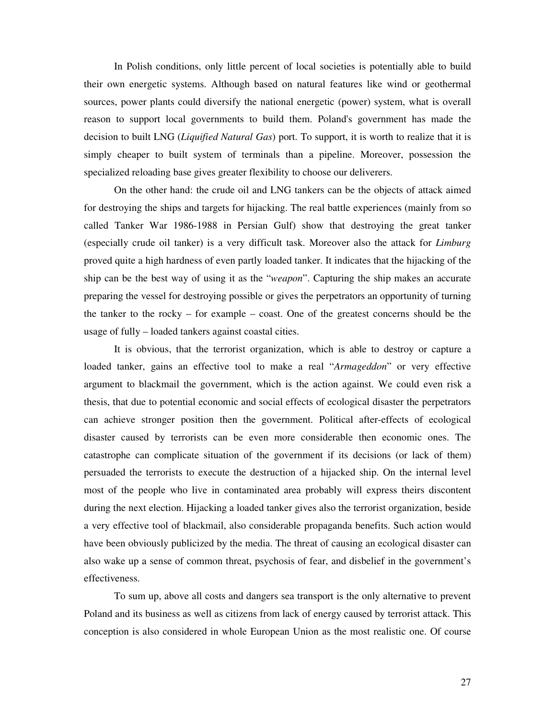In Polish conditions, only little percent of local societies is potentially able to build their own energetic systems. Although based on natural features like wind or geothermal sources, power plants could diversify the national energetic (power) system, what is overall reason to support local governments to build them. Poland's government has made the decision to built LNG (*Liquified Natural Gas*) port. To support, it is worth to realize that it is simply cheaper to built system of terminals than a pipeline. Moreover, possession the specialized reloading base gives greater flexibility to choose our deliverers.

On the other hand: the crude oil and LNG tankers can be the objects of attack aimed for destroying the ships and targets for hijacking. The real battle experiences (mainly from so called Tanker War 1986-1988 in Persian Gulf) show that destroying the great tanker (especially crude oil tanker) is a very difficult task. Moreover also the attack for *Limburg*  proved quite a high hardness of even partly loaded tanker. It indicates that the hijacking of the ship can be the best way of using it as the "*weapon*". Capturing the ship makes an accurate preparing the vessel for destroying possible or gives the perpetrators an opportunity of turning the tanker to the rocky – for example – coast. One of the greatest concerns should be the usage of fully – loaded tankers against coastal cities.

It is obvious, that the terrorist organization, which is able to destroy or capture a loaded tanker, gains an effective tool to make a real "*Armageddon*" or very effective argument to blackmail the government, which is the action against. We could even risk a thesis, that due to potential economic and social effects of ecological disaster the perpetrators can achieve stronger position then the government. Political after-effects of ecological disaster caused by terrorists can be even more considerable then economic ones. The catastrophe can complicate situation of the government if its decisions (or lack of them) persuaded the terrorists to execute the destruction of a hijacked ship. On the internal level most of the people who live in contaminated area probably will express theirs discontent during the next election. Hijacking a loaded tanker gives also the terrorist organization, beside a very effective tool of blackmail, also considerable propaganda benefits. Such action would have been obviously publicized by the media. The threat of causing an ecological disaster can also wake up a sense of common threat, psychosis of fear, and disbelief in the government's effectiveness.

To sum up, above all costs and dangers sea transport is the only alternative to prevent Poland and its business as well as citizens from lack of energy caused by terrorist attack. This conception is also considered in whole European Union as the most realistic one. Of course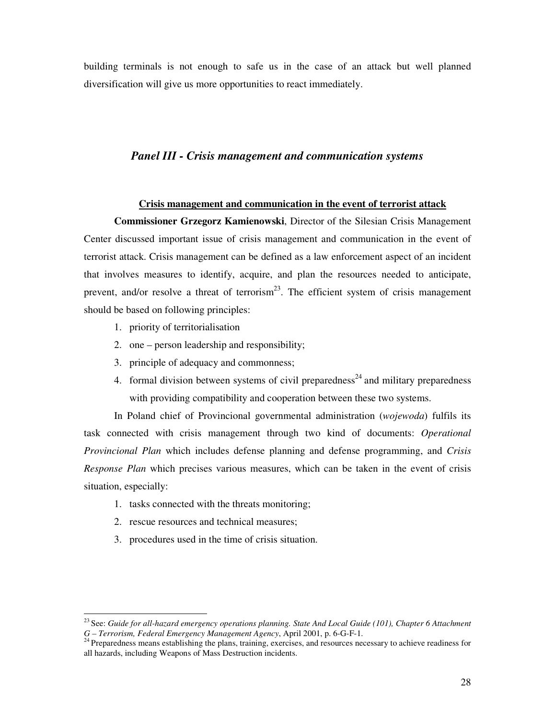building terminals is not enough to safe us in the case of an attack but well planned diversification will give us more opportunities to react immediately.

#### *Panel III - Crisis management and communication systems*

#### **Crisis management and communication in the event of terrorist attack**

**Commissioner Grzegorz Kamienowski**, Director of the Silesian Crisis Management Center discussed important issue of crisis management and communication in the event of terrorist attack. Crisis management can be defined as a law enforcement aspect of an incident that involves measures to identify, acquire, and plan the resources needed to anticipate, prevent, and/or resolve a threat of terrorism<sup>23</sup>. The efficient system of crisis management should be based on following principles:

- 1. priority of territorialisation
- 2. one person leadership and responsibility;
- 3. principle of adequacy and commonness;
- 4. formal division between systems of civil preparedness<sup>24</sup> and military preparedness with providing compatibility and cooperation between these two systems.

In Poland chief of Provincional governmental administration (*wojewoda*) fulfils its task connected with crisis management through two kind of documents: *Operational Provincional Plan* which includes defense planning and defense programming, and *Crisis Response Plan* which precises various measures, which can be taken in the event of crisis situation, especially:

- 1. tasks connected with the threats monitoring;
- 2. rescue resources and technical measures;

-

3. procedures used in the time of crisis situation.

<sup>23</sup>See: *Guide for all-hazard emergency operations planning. State And Local Guide (101), Chapter 6 Attachment G – Terrorism, Federal Emergency Management Agency*, April 2001, p. 6-G-F-1.

<sup>&</sup>lt;sup>24</sup> Preparedness means establishing the plans, training, exercises, and resources necessary to achieve readiness for all hazards, including Weapons of Mass Destruction incidents.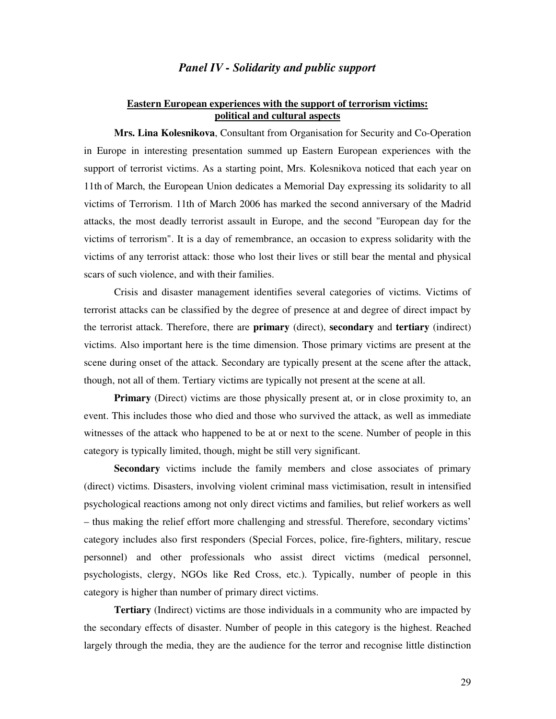#### *Panel IV - Solidarity and public support*

#### **Eastern European experiences with the support of terrorism victims: political and cultural aspects**

**Mrs. Lina Kolesnikova**, Consultant from Organisation for Security and Co-Operation in Europe in interesting presentation summed up Eastern European experiences with the support of terrorist victims. As a starting point, Mrs. Kolesnikova noticed that each year on 11th of March, the European Union dedicates a Memorial Day expressing its solidarity to all victims of Terrorism. 11th of March 2006 has marked the second anniversary of the Madrid attacks, the most deadly terrorist assault in Europe, and the second "European day for the victims of terrorism". It is a day of remembrance, an occasion to express solidarity with the victims of any terrorist attack: those who lost their lives or still bear the mental and physical scars of such violence, and with their families.

Crisis and disaster management identifies several categories of victims. Victims of terrorist attacks can be classified by the degree of presence at and degree of direct impact by the terrorist attack. Therefore, there are **primary** (direct), **secondary** and **tertiary** (indirect) victims. Also important here is the time dimension. Those primary victims are present at the scene during onset of the attack. Secondary are typically present at the scene after the attack, though, not all of them. Tertiary victims are typically not present at the scene at all.

**Primary** (Direct) victims are those physically present at, or in close proximity to, an event. This includes those who died and those who survived the attack, as well as immediate witnesses of the attack who happened to be at or next to the scene. Number of people in this category is typically limited, though, might be still very significant.

**Secondary** victims include the family members and close associates of primary (direct) victims. Disasters, involving violent criminal mass victimisation, result in intensified psychological reactions among not only direct victims and families, but relief workers as well – thus making the relief effort more challenging and stressful. Therefore, secondary victims' category includes also first responders (Special Forces, police, fire-fighters, military, rescue personnel) and other professionals who assist direct victims (medical personnel, psychologists, clergy, NGOs like Red Cross, etc.). Typically, number of people in this category is higher than number of primary direct victims.

**Tertiary** (Indirect) victims are those individuals in a community who are impacted by the secondary effects of disaster. Number of people in this category is the highest. Reached largely through the media, they are the audience for the terror and recognise little distinction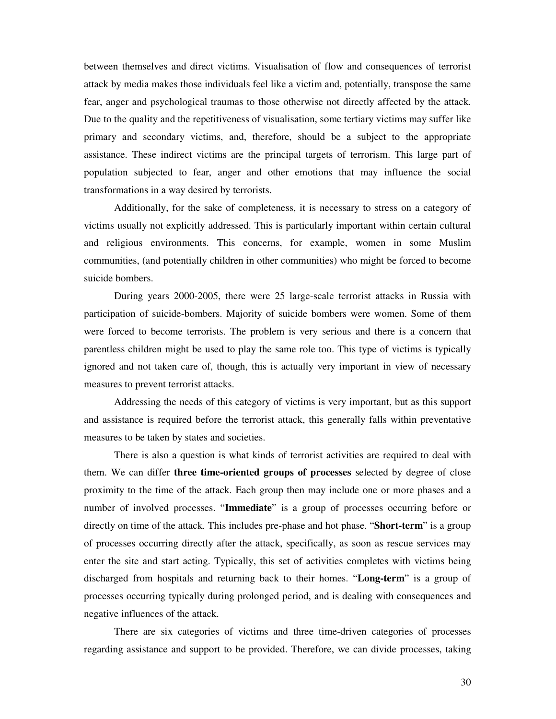between themselves and direct victims. Visualisation of flow and consequences of terrorist attack by media makes those individuals feel like a victim and, potentially, transpose the same fear, anger and psychological traumas to those otherwise not directly affected by the attack. Due to the quality and the repetitiveness of visualisation, some tertiary victims may suffer like primary and secondary victims, and, therefore, should be a subject to the appropriate assistance. These indirect victims are the principal targets of terrorism. This large part of population subjected to fear, anger and other emotions that may influence the social transformations in a way desired by terrorists.

Additionally, for the sake of completeness, it is necessary to stress on a category of victims usually not explicitly addressed. This is particularly important within certain cultural and religious environments. This concerns, for example, women in some Muslim communities, (and potentially children in other communities) who might be forced to become suicide bombers.

During years 2000-2005, there were 25 large-scale terrorist attacks in Russia with participation of suicide-bombers. Majority of suicide bombers were women. Some of them were forced to become terrorists. The problem is very serious and there is a concern that parentless children might be used to play the same role too. This type of victims is typically ignored and not taken care of, though, this is actually very important in view of necessary measures to prevent terrorist attacks.

Addressing the needs of this category of victims is very important, but as this support and assistance is required before the terrorist attack, this generally falls within preventative measures to be taken by states and societies.

There is also a question is what kinds of terrorist activities are required to deal with them. We can differ **three time-oriented groups of processes** selected by degree of close proximity to the time of the attack. Each group then may include one or more phases and a number of involved processes. "**Immediate**" is a group of processes occurring before or directly on time of the attack. This includes pre-phase and hot phase. "**Short-term**" is a group of processes occurring directly after the attack, specifically, as soon as rescue services may enter the site and start acting. Typically, this set of activities completes with victims being discharged from hospitals and returning back to their homes. "**Long-term**" is a group of processes occurring typically during prolonged period, and is dealing with consequences and negative influences of the attack.

There are six categories of victims and three time-driven categories of processes regarding assistance and support to be provided. Therefore, we can divide processes, taking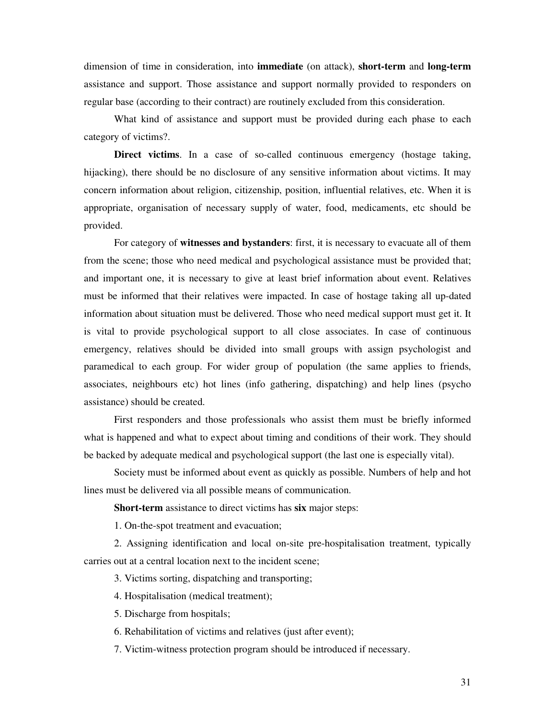dimension of time in consideration, into **immediate** (on attack), **short-term** and **long-term** assistance and support. Those assistance and support normally provided to responders on regular base (according to their contract) are routinely excluded from this consideration.

What kind of assistance and support must be provided during each phase to each category of victims?.

**Direct victims**. In a case of so-called continuous emergency (hostage taking, hijacking), there should be no disclosure of any sensitive information about victims. It may concern information about religion, citizenship, position, influential relatives, etc. When it is appropriate, organisation of necessary supply of water, food, medicaments, etc should be provided.

For category of **witnesses and bystanders**: first, it is necessary to evacuate all of them from the scene; those who need medical and psychological assistance must be provided that; and important one, it is necessary to give at least brief information about event. Relatives must be informed that their relatives were impacted. In case of hostage taking all up-dated information about situation must be delivered. Those who need medical support must get it. It is vital to provide psychological support to all close associates. In case of continuous emergency, relatives should be divided into small groups with assign psychologist and paramedical to each group. For wider group of population (the same applies to friends, associates, neighbours etc) hot lines (info gathering, dispatching) and help lines (psycho assistance) should be created.

First responders and those professionals who assist them must be briefly informed what is happened and what to expect about timing and conditions of their work. They should be backed by adequate medical and psychological support (the last one is especially vital).

Society must be informed about event as quickly as possible. Numbers of help and hot lines must be delivered via all possible means of communication.

**Short-term** assistance to direct victims has **six** major steps:

1. On-the-spot treatment and evacuation;

2. Assigning identification and local on-site pre-hospitalisation treatment, typically carries out at a central location next to the incident scene;

3. Victims sorting, dispatching and transporting;

4. Hospitalisation (medical treatment);

5. Discharge from hospitals;

6. Rehabilitation of victims and relatives (just after event);

7. Victim-witness protection program should be introduced if necessary.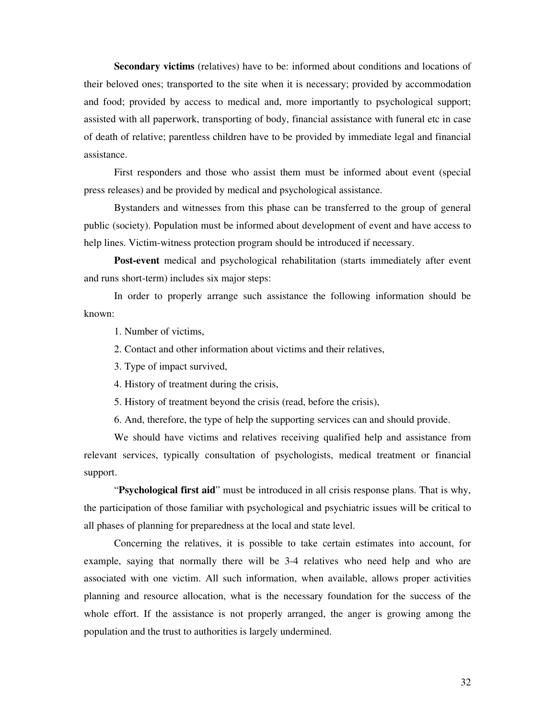**Secondary victims** (relatives) have to be: informed about conditions and locations of their beloved ones; transported to the site when it is necessary; provided by accommodation and food; provided by access to medical and, more importantly to psychological support; assisted with all paperwork, transporting of body, financial assistance with funeral etc in case of death of relative; parentless children have to be provided by immediate legal and financial assistance.

First responders and those who assist them must be informed about event (special press releases) and be provided by medical and psychological assistance.

Bystanders and witnesses from this phase can be transferred to the group of general public (society). Population must be informed about development of event and have access to help lines. Victim-witness protection program should be introduced if necessary.

**Post-event** medical and psychological rehabilitation (starts immediately after event and runs short-term) includes six major steps:

In order to properly arrange such assistance the following information should be known:

1. Number of victims,

2. Contact and other information about victims and their relatives,

3. Type of impact survived,

4. History of treatment during the crisis,

5. History of treatment beyond the crisis (read, before the crisis),

6. And, therefore, the type of help the supporting services can and should provide.

We should have victims and relatives receiving qualified help and assistance from relevant services, typically consultation of psychologists, medical treatment or financial support.

"**Psychological first aid**" must be introduced in all crisis response plans. That is why, the participation of those familiar with psychological and psychiatric issues will be critical to all phases of planning for preparedness at the local and state level.

Concerning the relatives, it is possible to take certain estimates into account, for example, saying that normally there will be 3-4 relatives who need help and who are associated with one victim. All such information, when available, allows proper activities planning and resource allocation, what is the necessary foundation for the success of the whole effort. If the assistance is not properly arranged, the anger is growing among the population and the trust to authorities is largely undermined.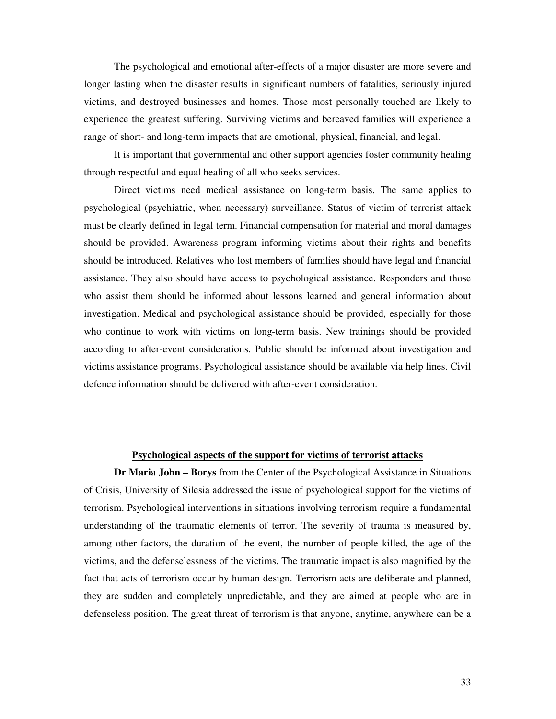The psychological and emotional after-effects of a major disaster are more severe and longer lasting when the disaster results in significant numbers of fatalities, seriously injured victims, and destroyed businesses and homes. Those most personally touched are likely to experience the greatest suffering. Surviving victims and bereaved families will experience a range of short- and long-term impacts that are emotional, physical, financial, and legal.

It is important that governmental and other support agencies foster community healing through respectful and equal healing of all who seeks services.

Direct victims need medical assistance on long-term basis. The same applies to psychological (psychiatric, when necessary) surveillance. Status of victim of terrorist attack must be clearly defined in legal term. Financial compensation for material and moral damages should be provided. Awareness program informing victims about their rights and benefits should be introduced. Relatives who lost members of families should have legal and financial assistance. They also should have access to psychological assistance. Responders and those who assist them should be informed about lessons learned and general information about investigation. Medical and psychological assistance should be provided, especially for those who continue to work with victims on long-term basis. New trainings should be provided according to after-event considerations. Public should be informed about investigation and victims assistance programs. Psychological assistance should be available via help lines. Civil defence information should be delivered with after-event consideration.

#### **Psychological aspects of the support for victims of terrorist attacks**

**Dr Maria John – Borys** from the Center of the Psychological Assistance in Situations of Crisis, University of Silesia addressed the issue of psychological support for the victims of terrorism. Psychological interventions in situations involving terrorism require a fundamental understanding of the traumatic elements of terror. The severity of trauma is measured by, among other factors, the duration of the event, the number of people killed, the age of the victims, and the defenselessness of the victims. The traumatic impact is also magnified by the fact that acts of terrorism occur by human design. Terrorism acts are deliberate and planned, they are sudden and completely unpredictable, and they are aimed at people who are in defenseless position. The great threat of terrorism is that anyone, anytime, anywhere can be a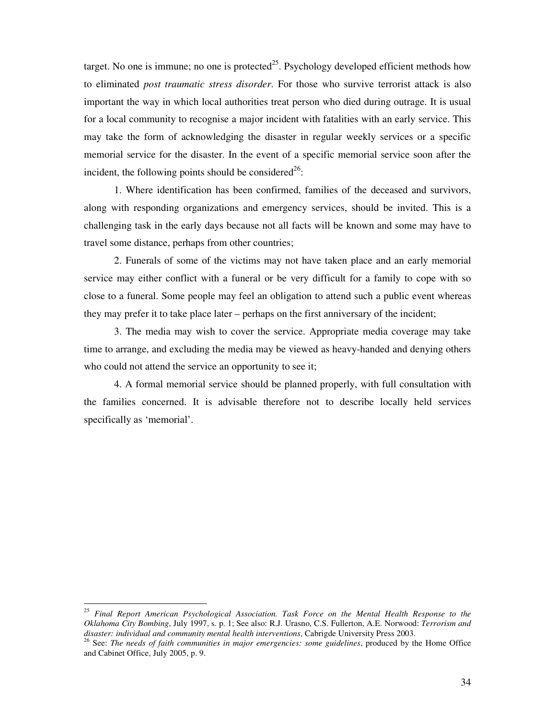target. No one is immune; no one is protected<sup>25</sup>. Psychology developed efficient methods how to eliminated *post traumatic stress disorder*. For those who survive terrorist attack is also important the way in which local authorities treat person who died during outrage. It is usual for a local community to recognise a major incident with fatalities with an early service. This may take the form of acknowledging the disaster in regular weekly services or a specific memorial service for the disaster. In the event of a specific memorial service soon after the incident, the following points should be considered<sup>26</sup>:

1. Where identification has been confirmed, families of the deceased and survivors, along with responding organizations and emergency services, should be invited. This is a challenging task in the early days because not all facts will be known and some may have to travel some distance, perhaps from other countries;

2. Funerals of some of the victims may not have taken place and an early memorial service may either conflict with a funeral or be very difficult for a family to cope with so close to a funeral. Some people may feel an obligation to attend such a public event whereas they may prefer it to take place later – perhaps on the first anniversary of the incident;

3. The media may wish to cover the service. Appropriate media coverage may take time to arrange, and excluding the media may be viewed as heavy-handed and denying others who could not attend the service an opportunity to see it;

4. A formal memorial service should be planned properly, with full consultation with the families concerned. It is advisable therefore not to describe locally held services specifically as 'memorial'.

<sup>-</sup><sup>25</sup> *Final Report American Psychological Association. Task Force on the Mental Health Response to the Oklahoma City Bombing*, July 1997, s. p. 1; See also: R.J. Urasno, C.S. Fullerton, A.E. Norwood: *Terrorism and disaster: individual and community mental health interventions*, Cabrigde University Press 2003.

<sup>26</sup> See: *The needs of faith communities in major emergencies: some guidelines*, produced by the Home Office and Cabinet Office, July 2005, p. 9.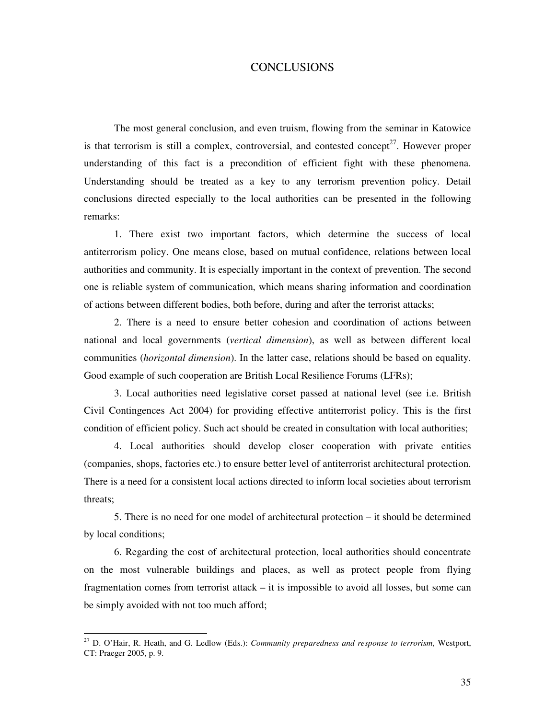#### CONCLUSIONS

The most general conclusion, and even truism, flowing from the seminar in Katowice is that terrorism is still a complex, controversial, and contested concept<sup>27</sup>. However proper understanding of this fact is a precondition of efficient fight with these phenomena. Understanding should be treated as a key to any terrorism prevention policy. Detail conclusions directed especially to the local authorities can be presented in the following remarks:

1. There exist two important factors, which determine the success of local antiterrorism policy. One means close, based on mutual confidence, relations between local authorities and community. It is especially important in the context of prevention. The second one is reliable system of communication, which means sharing information and coordination of actions between different bodies, both before, during and after the terrorist attacks;

2. There is a need to ensure better cohesion and coordination of actions between national and local governments (*vertical dimension*), as well as between different local communities (*horizontal dimension*). In the latter case, relations should be based on equality. Good example of such cooperation are British Local Resilience Forums (LFRs);

3. Local authorities need legislative corset passed at national level (see i.e. British Civil Contingences Act 2004) for providing effective antiterrorist policy. This is the first condition of efficient policy. Such act should be created in consultation with local authorities;

4. Local authorities should develop closer cooperation with private entities (companies, shops, factories etc.) to ensure better level of antiterrorist architectural protection. There is a need for a consistent local actions directed to inform local societies about terrorism threats;

5. There is no need for one model of architectural protection – it should be determined by local conditions;

6. Regarding the cost of architectural protection, local authorities should concentrate on the most vulnerable buildings and places, as well as protect people from flying fragmentation comes from terrorist attack – it is impossible to avoid all losses, but some can be simply avoided with not too much afford;

<sup>27</sup> D. O'Hair, R. Heath, and G. Ledlow (Eds.): *Community preparedness and response to terrorism*, Westport, CT: Praeger 2005, p. 9.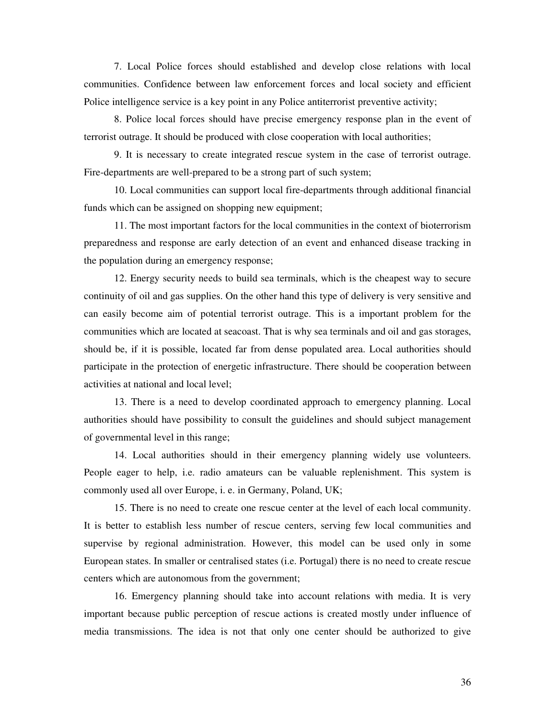7. Local Police forces should established and develop close relations with local communities. Confidence between law enforcement forces and local society and efficient Police intelligence service is a key point in any Police antiterrorist preventive activity;

8. Police local forces should have precise emergency response plan in the event of terrorist outrage. It should be produced with close cooperation with local authorities;

9. It is necessary to create integrated rescue system in the case of terrorist outrage. Fire-departments are well-prepared to be a strong part of such system;

10. Local communities can support local fire-departments through additional financial funds which can be assigned on shopping new equipment;

11. The most important factors for the local communities in the context of bioterrorism preparedness and response are early detection of an event and enhanced disease tracking in the population during an emergency response;

12. Energy security needs to build sea terminals, which is the cheapest way to secure continuity of oil and gas supplies. On the other hand this type of delivery is very sensitive and can easily become aim of potential terrorist outrage. This is a important problem for the communities which are located at seacoast. That is why sea terminals and oil and gas storages, should be, if it is possible, located far from dense populated area. Local authorities should participate in the protection of energetic infrastructure. There should be cooperation between activities at national and local level;

13. There is a need to develop coordinated approach to emergency planning. Local authorities should have possibility to consult the guidelines and should subject management of governmental level in this range;

14. Local authorities should in their emergency planning widely use volunteers. People eager to help, i.e. radio amateurs can be valuable replenishment. This system is commonly used all over Europe, i. e. in Germany, Poland, UK;

15. There is no need to create one rescue center at the level of each local community. It is better to establish less number of rescue centers, serving few local communities and supervise by regional administration. However, this model can be used only in some European states. In smaller or centralised states (i.e. Portugal) there is no need to create rescue centers which are autonomous from the government;

16. Emergency planning should take into account relations with media. It is very important because public perception of rescue actions is created mostly under influence of media transmissions. The idea is not that only one center should be authorized to give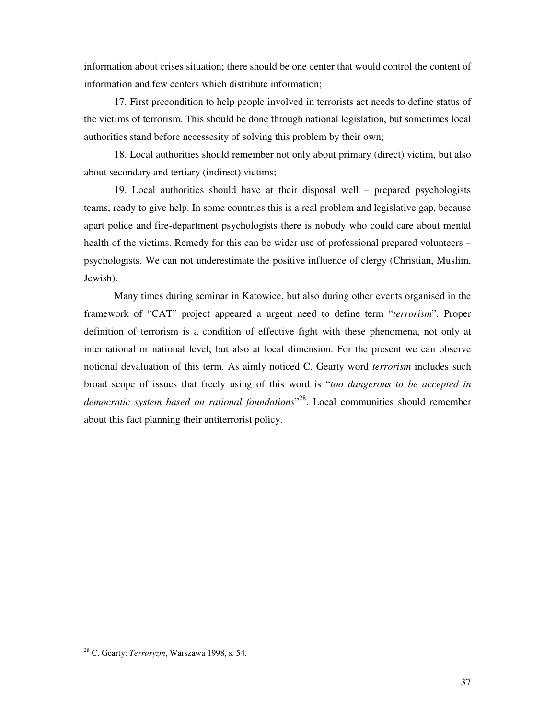information about crises situation; there should be one center that would control the content of information and few centers which distribute information;

17. First precondition to help people involved in terrorists act needs to define status of the victims of terrorism. This should be done through national legislation, but sometimes local authorities stand before necessesity of solving this problem by their own;

18. Local authorities should remember not only about primary (direct) victim, but also about secondary and tertiary (indirect) victims;

19. Local authorities should have at their disposal well – prepared psychologists teams, ready to give help. In some countries this is a real problem and legislative gap, because apart police and fire-department psychologists there is nobody who could care about mental health of the victims. Remedy for this can be wider use of professional prepared volunteers – psychologists. We can not underestimate the positive influence of clergy (Christian, Muslim, Jewish).

Many times during seminar in Katowice, but also during other events organised in the framework of "CAT" project appeared a urgent need to define term "*terrorism*". Proper definition of terrorism is a condition of effective fight with these phenomena, not only at international or national level, but also at local dimension. For the present we can observe notional devaluation of this term. As aimly noticed C. Gearty word *terrorism* includes such broad scope of issues that freely using of this word is "*too dangerous to be accepted in democratic system based on rational foundations*" <sup>28</sup>. Local communities should remember about this fact planning their antiterrorist policy.

<sup>28</sup> C. Gearty: *Terroryzm*, Warszawa 1998, s. 54.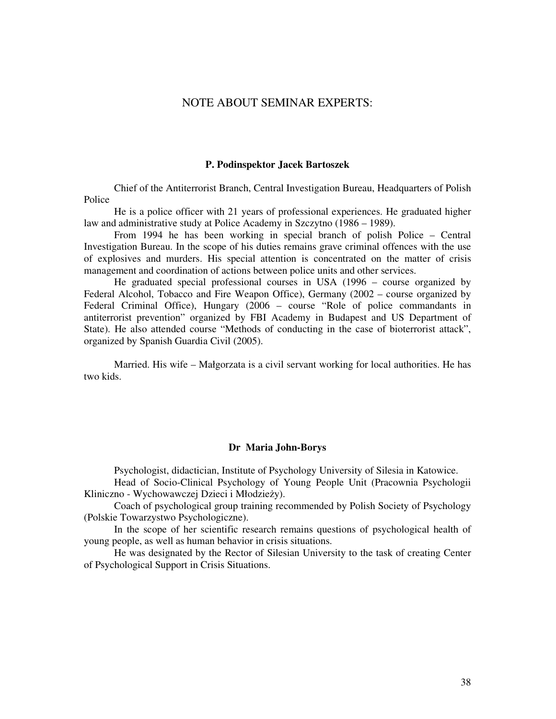#### NOTE ABOUT SEMINAR EXPERTS:

#### **P. Podinspektor Jacek Bartoszek**

Chief of the Antiterrorist Branch, Central Investigation Bureau, Headquarters of Polish Police

He is a police officer with 21 years of professional experiences. He graduated higher law and administrative study at Police Academy in Szczytno (1986 – 1989).

From 1994 he has been working in special branch of polish Police – Central Investigation Bureau. In the scope of his duties remains grave criminal offences with the use of explosives and murders. His special attention is concentrated on the matter of crisis management and coordination of actions between police units and other services.

He graduated special professional courses in USA (1996 – course organized by Federal Alcohol, Tobacco and Fire Weapon Office), Germany (2002 – course organized by Federal Criminal Office), Hungary (2006 – course "Role of police commandants in antiterrorist prevention" organized by FBI Academy in Budapest and US Department of State). He also attended course "Methods of conducting in the case of bioterrorist attack", organized by Spanish Guardia Civil (2005).

Married. His wife – Małgorzata is a civil servant working for local authorities. He has two kids.

#### **Dr Maria John-Borys**

Psychologist, didactician, Institute of Psychology University of Silesia in Katowice.

Head of Socio-Clinical Psychology of Young People Unit (Pracownia Psychologii Kliniczno - Wychowawczej Dzieci i Młodzieży).

Coach of psychological group training recommended by Polish Society of Psychology (Polskie Towarzystwo Psychologiczne).

In the scope of her scientific research remains questions of psychological health of young people, as well as human behavior in crisis situations.

He was designated by the Rector of Silesian University to the task of creating Center of Psychological Support in Crisis Situations.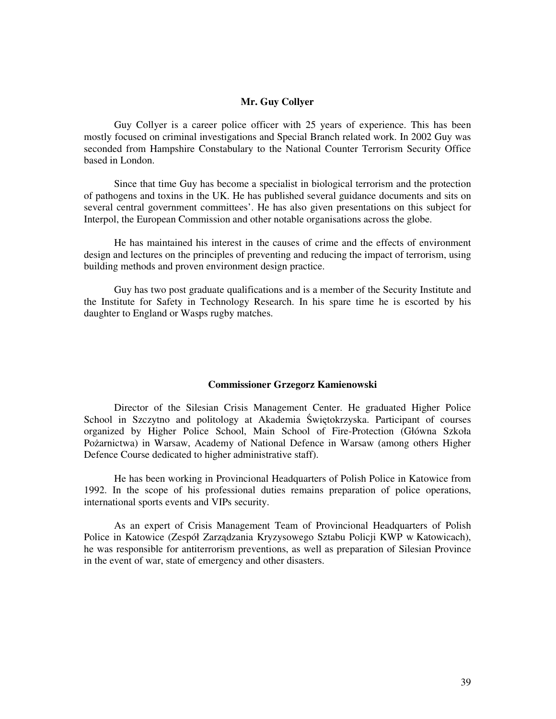#### **Mr. Guy Collyer**

Guy Collyer is a career police officer with 25 years of experience. This has been mostly focused on criminal investigations and Special Branch related work. In 2002 Guy was seconded from Hampshire Constabulary to the National Counter Terrorism Security Office based in London.

Since that time Guy has become a specialist in biological terrorism and the protection of pathogens and toxins in the UK. He has published several guidance documents and sits on several central government committees'. He has also given presentations on this subject for Interpol, the European Commission and other notable organisations across the globe.

He has maintained his interest in the causes of crime and the effects of environment design and lectures on the principles of preventing and reducing the impact of terrorism, using building methods and proven environment design practice.

Guy has two post graduate qualifications and is a member of the Security Institute and the Institute for Safety in Technology Research. In his spare time he is escorted by his daughter to England or Wasps rugby matches.

#### **Commissioner Grzegorz Kamienowski**

Director of the Silesian Crisis Management Center. He graduated Higher Police School in Szczytno and politology at Akademia Świętokrzyska. Participant of courses organized by Higher Police School, Main School of Fire-Protection (Główna Szkoła Pożarnictwa) in Warsaw, Academy of National Defence in Warsaw (among others Higher Defence Course dedicated to higher administrative staff).

He has been working in Provincional Headquarters of Polish Police in Katowice from 1992. In the scope of his professional duties remains preparation of police operations, international sports events and VIPs security.

As an expert of Crisis Management Team of Provincional Headquarters of Polish Police in Katowice (Zespół Zarządzania Kryzysowego Sztabu Policji KWP w Katowicach), he was responsible for antiterrorism preventions, as well as preparation of Silesian Province in the event of war, state of emergency and other disasters.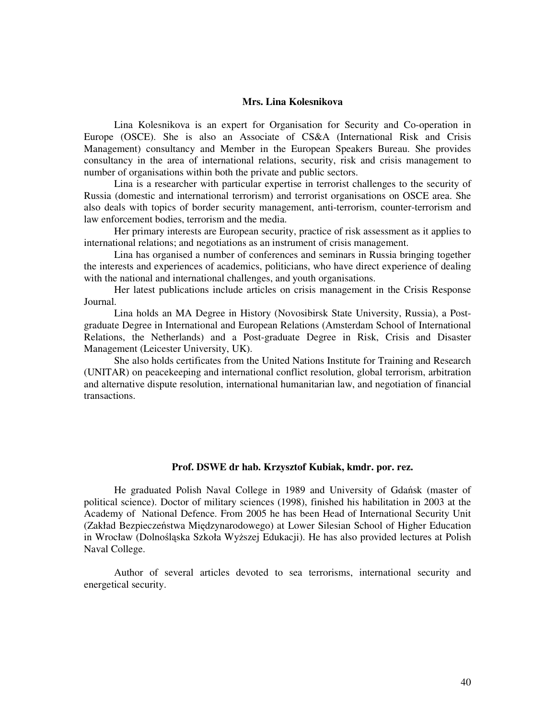#### **Mrs. Lina Kolesnikova**

Lina Kolesnikova is an expert for Organisation for Security and Co-operation in Europe (OSCE). She is also an Associate of CS&A (International Risk and Crisis Management) consultancy and Member in the European Speakers Bureau. She provides consultancy in the area of international relations, security, risk and crisis management to number of organisations within both the private and public sectors.

Lina is a researcher with particular expertise in terrorist challenges to the security of Russia (domestic and international terrorism) and terrorist organisations on OSCE area. She also deals with topics of border security management, anti-terrorism, counter-terrorism and law enforcement bodies, terrorism and the media.

Her primary interests are European security, practice of risk assessment as it applies to international relations; and negotiations as an instrument of crisis management.

Lina has organised a number of conferences and seminars in Russia bringing together the interests and experiences of academics, politicians, who have direct experience of dealing with the national and international challenges, and youth organisations.

Her latest publications include articles on crisis management in the Crisis Response Journal.

Lina holds an MA Degree in History (Novosibirsk State University, Russia), a Postgraduate Degree in International and European Relations (Amsterdam School of International Relations, the Netherlands) and a Post-graduate Degree in Risk, Crisis and Disaster Management (Leicester University, UK).

She also holds certificates from the United Nations Institute for Training and Research (UNITAR) on peacekeeping and international conflict resolution, global terrorism, arbitration and alternative dispute resolution, international humanitarian law, and negotiation of financial transactions.

#### **Prof. DSWE dr hab. Krzysztof Kubiak, kmdr. por. rez.**

He graduated Polish Naval College in 1989 and University of Gdańsk (master of political science). Doctor of military sciences (1998), finished his habilitation in 2003 at the Academy of National Defence. From 2005 he has been Head of International Security Unit (Zakład Bezpieczeństwa Międzynarodowego) at Lower Silesian School of Higher Education in Wrocław (Dolnośląska Szkoła Wyższej Edukacji). He has also provided lectures at Polish Naval College.

Author of several articles devoted to sea terrorisms, international security and energetical security.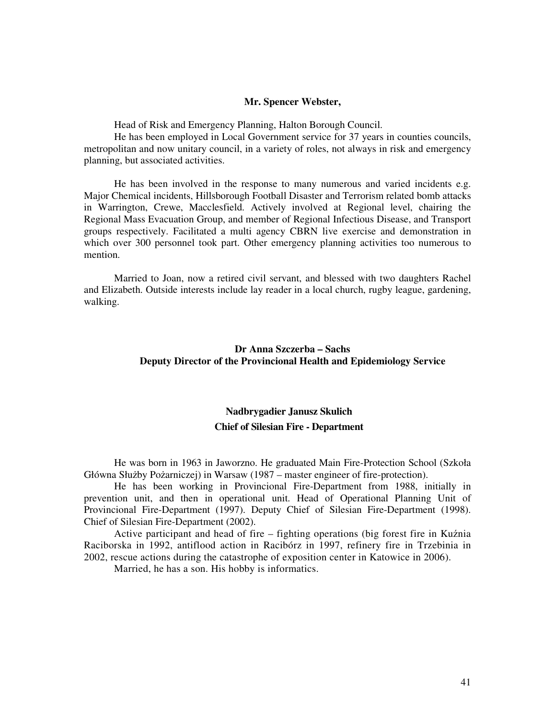#### **Mr. Spencer Webster,**

Head of Risk and Emergency Planning, Halton Borough Council.

He has been employed in Local Government service for 37 years in counties councils, metropolitan and now unitary council, in a variety of roles, not always in risk and emergency planning, but associated activities.

He has been involved in the response to many numerous and varied incidents e.g. Major Chemical incidents, Hillsborough Football Disaster and Terrorism related bomb attacks in Warrington, Crewe, Macclesfield. Actively involved at Regional level, chairing the Regional Mass Evacuation Group, and member of Regional Infectious Disease, and Transport groups respectively. Facilitated a multi agency CBRN live exercise and demonstration in which over 300 personnel took part. Other emergency planning activities too numerous to mention.

Married to Joan, now a retired civil servant, and blessed with two daughters Rachel and Elizabeth. Outside interests include lay reader in a local church, rugby league, gardening, walking.

#### **Dr Anna Szczerba – Sachs Deputy Director of the Provincional Health and Epidemiology Service**

#### **Nadbrygadier Janusz Skulich Chief of Silesian Fire - Department**

He was born in 1963 in Jaworzno. He graduated Main Fire-Protection School (Szkoła Główna Służby Pożarniczej) in Warsaw (1987 – master engineer of fire-protection).

He has been working in Provincional Fire-Department from 1988, initially in prevention unit, and then in operational unit. Head of Operational Planning Unit of Provincional Fire-Department (1997). Deputy Chief of Silesian Fire-Department (1998). Chief of Silesian Fire-Department (2002).

Active participant and head of fire – fighting operations (big forest fire in Kuźnia Raciborska in 1992, antiflood action in Racibórz in 1997, refinery fire in Trzebinia in 2002, rescue actions during the catastrophe of exposition center in Katowice in 2006).

Married, he has a son. His hobby is informatics.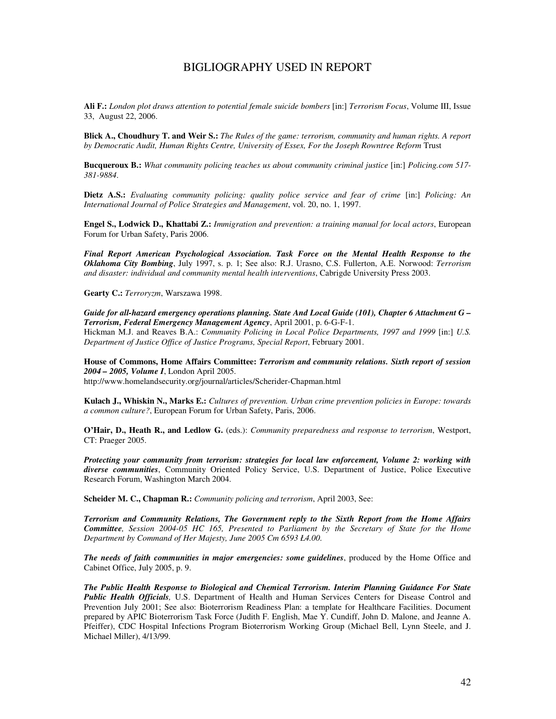#### BIGLIOGRAPHY USED IN REPORT

**Ali F.:** *London plot draws attention to potential female suicide bombers* [in:] *Terrorism Focus*, Volume III, Issue 33, August 22, 2006.

**Blick A., Choudhury T. and Weir S.:** *The Rules of the game: terrorism, community and human rights. A report by Democratic Audit, Human Rights Centre, University of Essex, For the Joseph Rowntree Reform* Trust

**Bucqueroux B.:** *What community policing teaches us about community criminal justice* [in:] *Policing.com 517- 381-9884*.

**Dietz A.S.:** *Evaluating community policing: quality police service and fear of crime* [in:] *Policing: An International Journal of Police Strategies and Management*, vol. 20, no. 1, 1997.

**Engel S., Lodwick D., Khattabi Z.:** *Immigration and prevention: a training manual for local actors*, European Forum for Urban Safety, Paris 2006.

*Final Report American Psychological Association. Task Force on the Mental Health Response to the Oklahoma City Bombing*, July 1997, s. p. 1; See also: R.J. Urasno, C.S. Fullerton, A.E. Norwood: *Terrorism and disaster: individual and community mental health interventions*, Cabrigde University Press 2003.

**Gearty C.:** *Terroryzm*, Warszawa 1998.

*Guide for all-hazard emergency operations planning. State And Local Guide (101), Chapter 6 Attachment G – Terrorism, Federal Emergency Management Agency*, April 2001, p. 6-G-F-1. Hickman M.J. and Reaves B.A.: *Community Policing in Local Police Departments, 1997 and 1999* [in:] *U.S. Department of Justice Office of Justice Programs, Special Report*, February 2001.

**House of Commons, Home Affairs Committee:** *Terrorism and community relations. Sixth report of session 2004 – 2005, Volume I*, London April 2005.

http://www.homelandsecurity.org/journal/articles/Scherider-Chapman.html

**Kulach J., Whiskin N., Marks E.:** *Cultures of prevention. Urban crime prevention policies in Europe: towards a common culture?*, European Forum for Urban Safety, Paris, 2006.

**O'Hair, D., Heath R., and Ledlow G.** (eds.): *Community preparedness and response to terrorism*, Westport, CT: Praeger 2005.

*Protecting your community from terrorism: strategies for local law enforcement, Volume 2: working with diverse communities*, Community Oriented Policy Service, U.S. Department of Justice, Police Executive Research Forum, Washington March 2004.

**Scheider M. C., Chapman R.:** *Community policing and terrorism*, April 2003, See:

*Terrorism and Community Relations, The Government reply to the Sixth Report from the Home Affairs Committee, Session 2004-05 HC 165, Presented to Parliament by the Secretary of State for the Home Department by Command of Her Majesty, June 2005 Cm 6593 Ł4.00*.

*The needs of faith communities in major emergencies: some guidelines*, produced by the Home Office and Cabinet Office, July 2005, p. 9.

*The Public Health Response to Biological and Chemical Terrorism. Interim Planning Guidance For State Public Health Officials,* U.S. Department of Health and Human Services Centers for Disease Control and Prevention July 2001; See also: Bioterrorism Readiness Plan: a template for Healthcare Facilities. Document prepared by APIC Bioterrorism Task Force (Judith F. English, Mae Y. Cundiff, John D. Malone, and Jeanne A. Pfeiffer), CDC Hospital Infections Program Bioterrorism Working Group (Michael Bell, Lynn Steele, and J. Michael Miller), 4/13/99.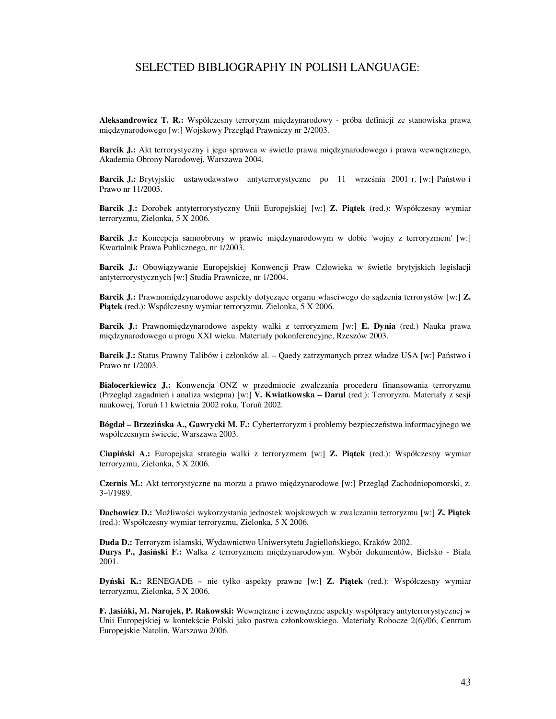#### SELECTED BIBLIOGRAPHY IN POLISH LANGUAGE:

**Aleksandrowicz T. R.:** Współczesny terroryzm międzynarodowy - próba definicji ze stanowiska prawa międzynarodowego [w:] Wojskowy Przegląd Prawniczy nr 2/2003.

**Barcik J.:** Akt terrorystyczny i jego sprawca w świetle prawa międzynarodowego i prawa wewnętrznego, Akademia Obrony Narodowej, Warszawa 2004.

**Barcik J.:** Brytyjskie ustawodawstwo antyterrorystyczne po 11 września 2001 r. [w:] Państwo i Prawo nr 11/2003.

**Barcik J.:** Dorobek antyterrorystyczny Unii Europejskiej [w:] **Z. Pi**ą**tek** (red.): Współczesny wymiar terroryzmu, Zielonka, 5 X 2006.

Barcik J.: Koncepcja samoobrony w prawie międzynarodowym w dobie 'wojny z terroryzmem' [w:] Kwartalnik Prawa Publicznego, nr 1/2003.

**Barcik J.:** Obowiązywanie Europejskiej Konwencji Praw Człowieka w świetle brytyjskich legislacji antyterrorystycznych [w:] Studia Prawnicze, nr 1/2004.

**Barcik J.:** Prawnomiędzynarodowe aspekty dotyczące organu właściwego do sądzenia terrorystów [w:] **Z. Pi**ą**tek** (red.): Współczesny wymiar terroryzmu, Zielonka, 5 X 2006.

**Barcik J.:** Prawnomiędzynarodowe aspekty walki z terroryzmem [w:] **E. Dynia** (red.) Nauka prawa międzynarodowego u progu XXI wieku. Materiały pokonferencyjne, Rzeszów 2003.

**Barcik J.:** Status Prawny Talibów i członków al. – Qaedy zatrzymanych przez władze USA [w:] Państwo i Prawo nr 1/2003.

**Białocerkiewicz J.:** Konwencja ONZ w przedmiocie zwalczania procederu finansowania terroryzmu (Przegląd zagadnień i analiza wstępna) [w:] **V. Kwiatkowska – Darul** (red.): Terroryzm. Materiały z sesji naukowej, Toruń 11 kwietnia 2002 roku, Toruń 2002.

**Bógdał – Brzezi**ń**ska A., Gawrycki M. F.:** Cyberterroryzm i problemy bezpieczeństwa informacyjnego we współczesnym świecie, Warszawa 2003.

**Ciupi**ń**ski A.:** Europejska strategia walki z terroryzmem [w:] **Z. Pi**ą**tek** (red.): Współczesny wymiar terroryzmu, Zielonka, 5 X 2006.

**Czernis M.:** Akt terrorystyczne na morzu a prawo międzynarodowe [w:] Przegląd Zachodniopomorski, z. 3-4/1989.

**Dachowicz D.:** Możliwości wykorzystania jednostek wojskowych w zwalczaniu terroryzmu [w:] **Z. Pi**ą**tek** (red.): Współczesny wymiar terroryzmu, Zielonka, 5 X 2006.

**Duda D.:** Terroryzm islamski, Wydawnictwo Uniwersytetu Jagiellońskiego, Kraków 2002. **Durys P., Jasi**ń**ski F.:** Walka z terroryzmem międzynarodowym. Wybór dokumentów, Bielsko - Biała 2001.

**Dy**ń**ski K.:** RENEGADE – nie tylko aspekty prawne [w:] **Z. Pi**ą**tek** (red.): Współczesny wymiar terroryzmu, Zielonka, 5 X 2006.

**F. Jasi**ń**ki, M. Narojek, P. Rakowski:** Wewnętrzne i zewnętrzne aspekty współpracy antyterrorystycznej w Unii Europejskiej w kontekście Polski jako pastwa członkowskiego. Materiały Robocze 2(6)/06, Centrum Europejskie Natolin, Warszawa 2006.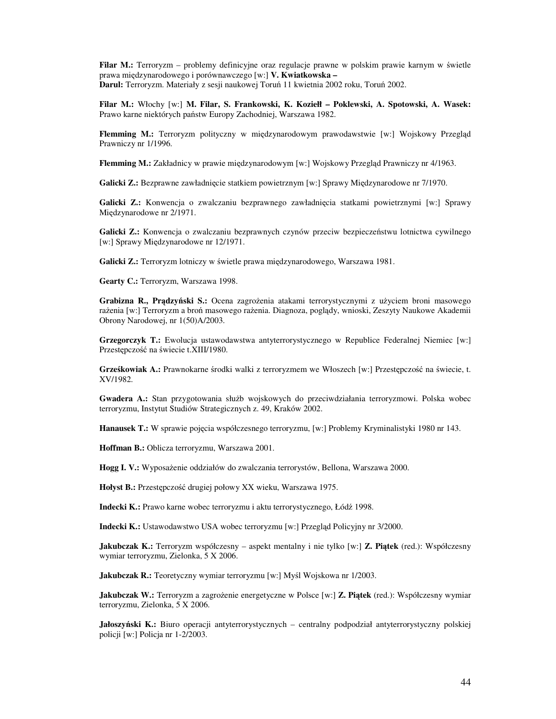**Filar M.:** Terroryzm – problemy definicyjne oraz regulacje prawne w polskim prawie karnym w świetle prawa międzynarodowego i porównawczego [w:] **V. Kwiatkowska – Darul:** Terroryzm. Materiały z sesji naukowej Toruń 11 kwietnia 2002 roku, Toruń 2002.

**Filar M.:** Włochy [w:] **M. Filar, S. Frankowski, K. Koziełł – Poklewski, A. Spotowski, A. Wasek:** Prawo karne niektórych państw Europy Zachodniej, Warszawa 1982.

**Flemming M.:** Terroryzm polityczny w międzynarodowym prawodawstwie [w:] Wojskowy Przegląd Prawniczy nr 1/1996.

**Flemming M.:** Zakładnicy w prawie międzynarodowym [w:] Wojskowy Przegląd Prawniczy nr 4/1963.

**Galicki Z.:** Bezprawne zawładnięcie statkiem powietrznym [w:] Sprawy Międzynarodowe nr 7/1970.

**Galicki Z.:** Konwencja o zwalczaniu bezprawnego zawładnięcia statkami powietrznymi [w:] Sprawy Międzynarodowe nr 2/1971.

**Galicki Z.:** Konwencja o zwalczaniu bezprawnych czynów przeciw bezpieczeństwu lotnictwa cywilnego [w:] Sprawy Miedzynarodowe nr 12/1971.

**Galicki Z.:** Terroryzm lotniczy w świetle prawa międzynarodowego, Warszawa 1981.

**Gearty C.:** Terroryzm, Warszawa 1998.

**Grabizna R., Pr**ą**dzy**ń**ski S.:** Ocena zagrożenia atakami terrorystycznymi z użyciem broni masowego rażenia [w:] Terroryzm a broń masowego rażenia. Diagnoza, poglądy, wnioski, Zeszyty Naukowe Akademii Obrony Narodowej, nr 1(50)A/2003.

Grzegorczyk T.: Ewolucja ustawodawstwa antyterrorystycznego w Republice Federalnej Niemiec [w:] Przestępczość na świecie t.XIII/1980.

**Grze**ś**kowiak A.:** Prawnokarne środki walki z terroryzmem we Włoszech [w:] Przestępczość na świecie, t. XV/1982.

**Gwadera A.:** Stan przygotowania służb wojskowych do przeciwdziałania terroryzmowi. Polska wobec terroryzmu, Instytut Studiów Strategicznych z. 49, Kraków 2002.

**Hanausek T.:** W sprawie pojęcia współczesnego terroryzmu, [w:] Problemy Kryminalistyki 1980 nr 143.

**Hoffman B.:** Oblicza terroryzmu, Warszawa 2001.

**Hogg I. V.:** Wyposażenie oddziałów do zwalczania terrorystów, Bellona, Warszawa 2000.

**Hołyst B.:** Przestępczość drugiej połowy XX wieku, Warszawa 1975.

**Indecki K.:** Prawo karne wobec terroryzmu i aktu terrorystycznego, Łódź 1998.

**Indecki K.:** Ustawodawstwo USA wobec terroryzmu [w:] Przegląd Policyjny nr 3/2000.

**Jakubczak K.:** Terroryzm współczesny – aspekt mentalny i nie tylko [w:] **Z. Pi**ą**tek** (red.): Współczesny wymiar terroryzmu, Zielonka, 5 X 2006.

**Jakubczak R.:** Teoretyczny wymiar terroryzmu [w:] Myśl Wojskowa nr 1/2003.

**Jakubczak W.:** Terroryzm a zagrożenie energetyczne w Polsce [w:] **Z. Pi**ą**tek** (red.): Współczesny wymiar terroryzmu, Zielonka, 5 X 2006.

**Jałoszy**ń**ski K.:** Biuro operacji antyterrorystycznych – centralny podpodział antyterrorystyczny polskiej policji [w:] Policja nr 1-2/2003.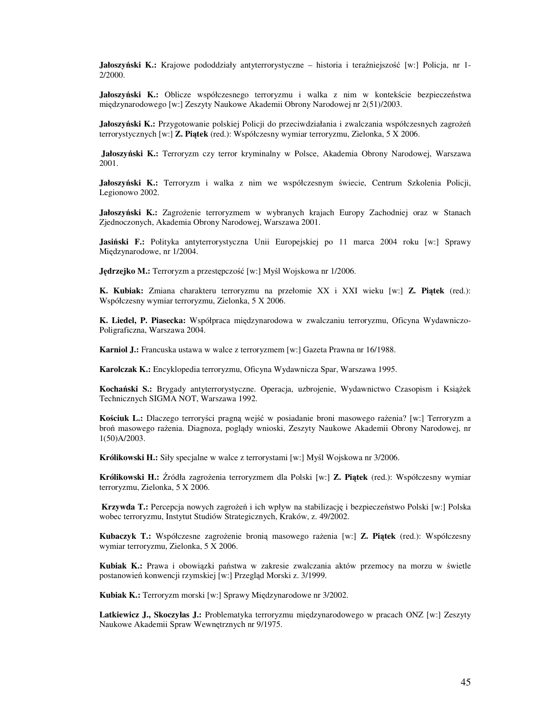**Jałoszy**ń**ski K.:** Krajowe pododdziały antyterrorystyczne – historia i teraźniejszość [w:] Policja, nr 1- 2/2000.

**Jałoszy**ń**ski K.:** Oblicze współczesnego terroryzmu i walka z nim w kontekście bezpieczeństwa międzynarodowego [w:] Zeszyty Naukowe Akademii Obrony Narodowej nr 2(51)/2003.

Jałoszyński K.: Przygotowanie polskiej Policji do przeciwdziałania i zwalczania współczesnych zagrożeń terrorystycznych [w:] **Z. Pi**ą**tek** (red.): Współczesny wymiar terroryzmu, Zielonka, 5 X 2006.

**Jałoszy**ń**ski K.:** Terroryzm czy terror kryminalny w Polsce, Akademia Obrony Narodowej, Warszawa 2001.

**Jałoszy**ń**ski K.:** Terroryzm i walka z nim we współczesnym świecie, Centrum Szkolenia Policji, Legionowo 2002.

**Jałoszy**ń**ski K.:** Zagrożenie terroryzmem w wybranych krajach Europy Zachodniej oraz w Stanach Zjednoczonych, Akademia Obrony Narodowej, Warszawa 2001.

**Jasi**ń**ski F.:** Polityka antyterrorystyczna Unii Europejskiej po 11 marca 2004 roku [w:] Sprawy Międzynarodowe, nr 1/2004.

**J**ę**drzejko M.:** Terroryzm a przestępczość [w:] Myśl Wojskowa nr 1/2006.

**K. Kubiak:** Zmiana charakteru terroryzmu na przełomie XX i XXI wieku [w:] **Z. Pi**ą**tek** (red.): Współczesny wymiar terroryzmu, Zielonka, 5 X 2006.

**K. Liedel, P. Piasecka:** Współpraca międzynarodowa w zwalczaniu terroryzmu, Oficyna Wydawniczo-Poligraficzna, Warszawa 2004.

**Karniol J.:** Francuska ustawa w walce z terroryzmem [w:] Gazeta Prawna nr 16/1988.

**Karolczak K.:** Encyklopedia terroryzmu, Oficyna Wydawnicza Spar, Warszawa 1995.

**Kocha**ń**ski S.:** Brygady antyterrorystyczne. Operacja, uzbrojenie, Wydawnictwo Czasopism i Książek Technicznych SIGMA NOT, Warszawa 1992.

**Ko**ś**ciuk L.:** Dlaczego terroryści pragną wejść w posiadanie broni masowego rażenia? [w:] Terroryzm a broń masowego rażenia. Diagnoza, poglądy wnioski, Zeszyty Naukowe Akademii Obrony Narodowej, nr 1(50)A/2003.

**Królikowski H.:** Siły specjalne w walce z terrorystami [w:] Myśl Wojskowa nr 3/2006.

**Królikowski H.:** Źródła zagrożenia terroryzmem dla Polski [w:] **Z. Pi**ą**tek** (red.): Współczesny wymiar terroryzmu, Zielonka, 5 X 2006.

**Krzywda T.:** Percepcja nowych zagrożeń i ich wpływ na stabilizację i bezpieczeństwo Polski [w:] Polska wobec terroryzmu, Instytut Studiów Strategicznych, Kraków, z. 49/2002.

**Kubaczyk T.:** Współczesne zagrożenie bronią masowego rażenia [w:] **Z. Pi**ą**tek** (red.): Współczesny wymiar terroryzmu, Zielonka, 5 X 2006.

**Kubiak K.:** Prawa i obowiązki państwa w zakresie zwalczania aktów przemocy na morzu w świetle postanowień konwencji rzymskiej [w:] Przegląd Morski z. 3/1999.

**Kubiak K.:** Terroryzm morski [w:] Sprawy Międzynarodowe nr 3/2002.

**Latkiewicz J., Skoczylas J.:** Problematyka terroryzmu międzynarodowego w pracach ONZ [w:] Zeszyty Naukowe Akademii Spraw Wewnętrznych nr 9/1975.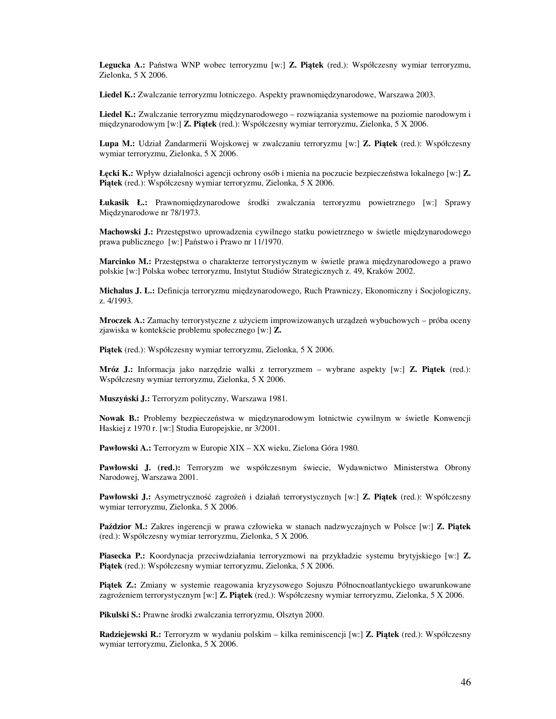**Legucka A.:** Państwa WNP wobec terroryzmu [w:] **Z. Pi**ą**tek** (red.): Współczesny wymiar terroryzmu, Zielonka, 5 X 2006.

**Liedel K.:** Zwalczanie terroryzmu lotniczego. Aspekty prawnomiędzynarodowe, Warszawa 2003.

**Liedel K.:** Zwalczanie terroryzmu międzynarodowego – rozwiązania systemowe na poziomie narodowym i międzynarodowym [w:] **Z. Pi**ą**tek** (red.): Współczesny wymiar terroryzmu, Zielonka, 5 X 2006.

**Lupa M.:** Udział Żandarmerii Wojskowej w zwalczaniu terroryzmu [w:] **Z. Pi**ą**tek** (red.): Współczesny wymiar terroryzmu, Zielonka, 5 X 2006.

**Ł**ę**cki K.:** Wpływ działalności agencji ochrony osób i mienia na poczucie bezpieczeństwa lokalnego [w:] **Z. Pi**ą**tek** (red.): Współczesny wymiar terroryzmu, Zielonka, 5 X 2006.

**Łukasik Ł.:** Prawnomiędzynarodowe środki zwalczania terroryzmu powietrznego [w:] Sprawy Międzynarodowe nr 78/1973.

**Machowski J.:** Przestępstwo uprowadzenia cywilnego statku powietrznego w świetle międzynarodowego prawa publicznego [w:] Państwo i Prawo nr 11/1970.

**Marcinko M.:** Przestępstwa o charakterze terrorystycznym w świetle prawa międzynarodowego a prawo polskie [w:] Polska wobec terroryzmu, Instytut Studiów Strategicznych z. 49, Kraków 2002.

**Michalus J. L.:** Definicja terroryzmu międzynarodowego, Ruch Prawniczy, Ekonomiczny i Socjologiczny, z. 4/1993.

**Mroczek A.:** Zamachy terrorystyczne z użyciem improwizowanych urządzeń wybuchowych – próba oceny zjawiska w kontekście problemu społecznego [w:] **Z.** 

**Pi**ą**tek** (red.): Współczesny wymiar terroryzmu, Zielonka, 5 X 2006.

**Mróz J.:** Informacja jako narzędzie walki z terroryzmem – wybrane aspekty [w:] **Z. Pi**ą**tek** (red.): Współczesny wymiar terroryzmu, Zielonka, 5 X 2006.

**Muszy**ń**ski J.:** Terroryzm polityczny, Warszawa 1981.

**Nowak B.:** Problemy bezpieczeństwa w międzynarodowym lotnictwie cywilnym w świetle Konwencji Haskiej z 1970 r. [w:] Studia Europejskie, nr 3/2001.

**Pawłowski A.:** Terroryzm w Europie XIX – XX wieku, Zielona Góra 1980.

**Pawłowski J. (red.):** Terroryzm we współczesnym świecie, Wydawnictwo Ministerstwa Obrony Narodowej, Warszawa 2001.

**Pawłowski J.:** Asymetryczność zagrożeń i działań terrorystycznych [w:] **Z. Pi**ą**tek** (red.): Współczesny wymiar terroryzmu, Zielonka, 5 X 2006.

**Pa**ź**dzior M.:** Zakres ingerencji w prawa człowieka w stanach nadzwyczajnych w Polsce [w:] **Z. Pi**ą**tek** (red.): Współczesny wymiar terroryzmu, Zielonka, 5 X 2006.

**Piasecka P.:** Koordynacja przeciwdziałania terroryzmowi na przykładzie systemu brytyjskiego [w:] **Z. Pi**ą**tek** (red.): Współczesny wymiar terroryzmu, Zielonka, 5 X 2006.

**Pi**ą**tek Z.:** Zmiany w systemie reagowania kryzysowego Sojuszu Północnoatlantyckiego uwarunkowane zagrożeniem terrorystycznym [w:] **Z. Pi**ą**tek** (red.): Współczesny wymiar terroryzmu, Zielonka, 5 X 2006.

**Pikulski S.:** Prawne środki zwalczania terroryzmu, Olsztyn 2000.

**Radziejewski R.:** Terroryzm w wydaniu polskim – kilka reminiscencji [w:] **Z. Pi**ą**tek** (red.): Współczesny wymiar terroryzmu, Zielonka, 5 X 2006.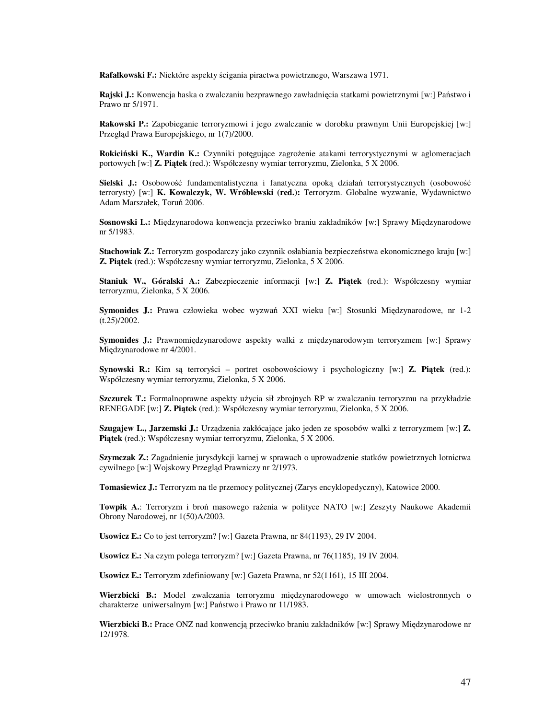**Rafałkowski F.:** Niektóre aspekty ścigania piractwa powietrznego, Warszawa 1971.

**Rajski J.:** Konwencja haska o zwalczaniu bezprawnego zawładnięcia statkami powietrznymi [w:] Państwo i Prawo nr 5/1971.

**Rakowski P.:** Zapobieganie terroryzmowi i jego zwalczanie w dorobku prawnym Unii Europejskiej [w:] Przegląd Prawa Europejskiego, nr 1(7)/2000.

**Rokici**ń**ski K., Wardin K.:** Czynniki potęgujące zagrożenie atakami terrorystycznymi w aglomeracjach portowych [w:] **Z. Pi**ą**tek** (red.): Współczesny wymiar terroryzmu, Zielonka, 5 X 2006.

**Sielski J.:** Osobowość fundamentalistyczna i fanatyczna opoką działań terrorystycznych (osobowość terrorysty) [w:] **K. Kowalczyk, W. Wróblewski (red.):** Terroryzm. Globalne wyzwanie, Wydawnictwo Adam Marszałek, Toruń 2006.

**Sosnowski L.:** Międzynarodowa konwencja przeciwko braniu zakładników [w:] Sprawy Międzynarodowe nr 5/1983.

**Stachowiak Z.:** Terroryzm gospodarczy jako czynnik osłabiania bezpieczeństwa ekonomicznego kraju [w:] **Z. Pi**ą**tek** (red.): Współczesny wymiar terroryzmu, Zielonka, 5 X 2006.

**Staniuk W., Góralski A.:** Zabezpieczenie informacji [w:] **Z. Pi**ą**tek** (red.): Współczesny wymiar terroryzmu, Zielonka, 5 X 2006.

**Symonides J.:** Prawa człowieka wobec wyzwań XXI wieku [w:] Stosunki Międzynarodowe, nr 1-2 (t.25)/2002.

**Symonides J.:** Prawnomiędzynarodowe aspekty walki z międzynarodowym terroryzmem [w:] Sprawy Międzynarodowe nr 4/2001.

**Synowski R.:** Kim są terroryści – portret osobowościowy i psychologiczny [w:] **Z. Pi**ą**tek** (red.): Współczesny wymiar terroryzmu, Zielonka, 5 X 2006.

**Szczurek T.:** Formalnoprawne aspekty użycia sił zbrojnych RP w zwalczaniu terroryzmu na przykładzie RENEGADE [w:] **Z. Pi**ą**tek** (red.): Współczesny wymiar terroryzmu, Zielonka, 5 X 2006.

**Szugajew L., Jarzemski J.:** Urządzenia zakłócające jako jeden ze sposobów walki z terroryzmem [w:] **Z. Pi**ą**tek** (red.): Współczesny wymiar terroryzmu, Zielonka, 5 X 2006.

**Szymczak Z.:** Zagadnienie jurysdykcji karnej w sprawach o uprowadzenie statków powietrznych lotnictwa cywilnego [w:] Wojskowy Przegląd Prawniczy nr 2/1973.

**Tomasiewicz J.:** Terroryzm na tle przemocy politycznej (Zarys encyklopedyczny), Katowice 2000.

**Towpik A.**: Terroryzm i broń masowego rażenia w polityce NATO [w:] Zeszyty Naukowe Akademii Obrony Narodowej, nr 1(50)A/2003.

**Usowicz E.:** Co to jest terroryzm? [w:] Gazeta Prawna, nr 84(1193), 29 IV 2004.

**Usowicz E.:** Na czym polega terroryzm? [w:] Gazeta Prawna, nr 76(1185), 19 IV 2004.

**Usowicz E.:** Terroryzm zdefiniowany [w:] Gazeta Prawna, nr 52(1161), 15 III 2004.

**Wierzbicki B.:** Model zwalczania terroryzmu międzynarodowego w umowach wielostronnych o charakterze uniwersalnym [w:] Państwo i Prawo nr 11/1983.

**Wierzbicki B.:** Prace ONZ nad konwencją przeciwko braniu zakładników [w:] Sprawy Międzynarodowe nr 12/1978.